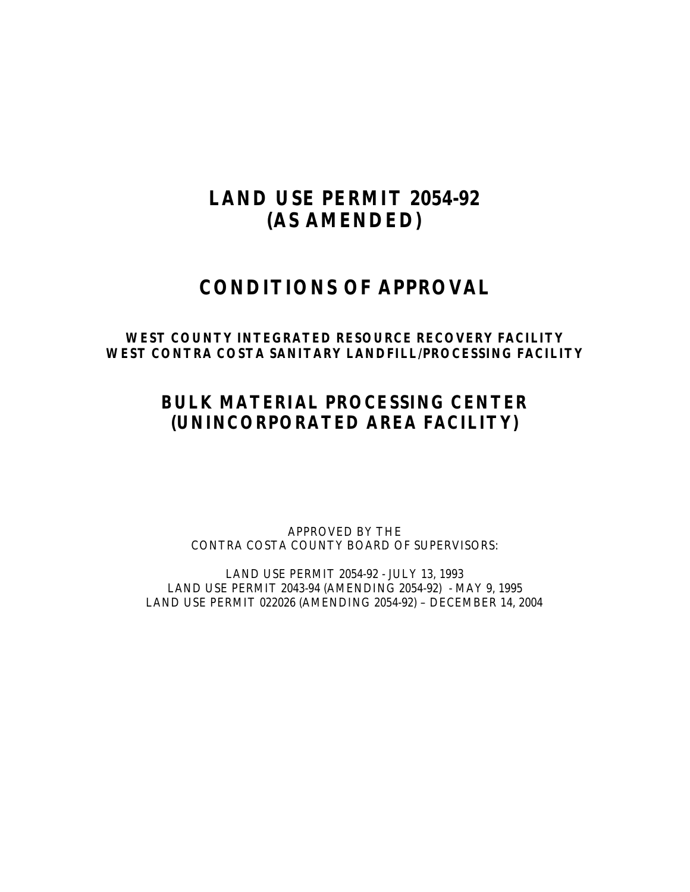# **LAND USE PERMIT 2054-92 (AS AMENDED)**

## **CONDITIONS OF APPROVAL**

## **WEST COUNTY INTEGRATED RESOURCE RECOVERY FACILITY WEST CONTRA COSTA SANITARY LANDFILL/PROCESSING FACILITY**

## **BULK MATERIAL PROCESSING CENTER (UNINCORPORATED AREA FACILITY)**

APPROVED BY THE CONTRA COSTA COUNTY BOARD OF SUPERVISORS:

LAND USE PERMIT 2054-92 - JULY 13, 1993 LAND USE PERMIT 2043-94 (AMENDING 2054-92) - MAY 9, 1995 LAND USE PERMIT 022026 (AMENDING 2054-92) – DECEMBER 14, 2004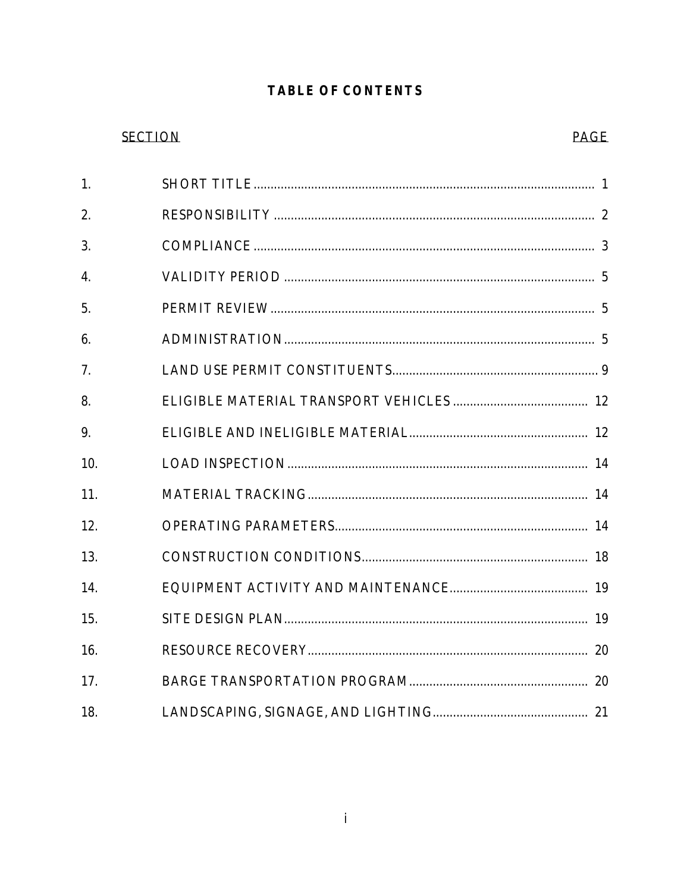## **TABLE OF CONTENTS**

## **SECTION**

## **PAGE**

| 1.  |  |
|-----|--|
| 2.  |  |
| 3.  |  |
| 4.  |  |
| 5.  |  |
| 6.  |  |
| 7.  |  |
| 8.  |  |
| 9.  |  |
| 10. |  |
| 11. |  |
| 12. |  |
| 13. |  |
| 14. |  |
| 15. |  |
| 16. |  |
| 17. |  |
| 18. |  |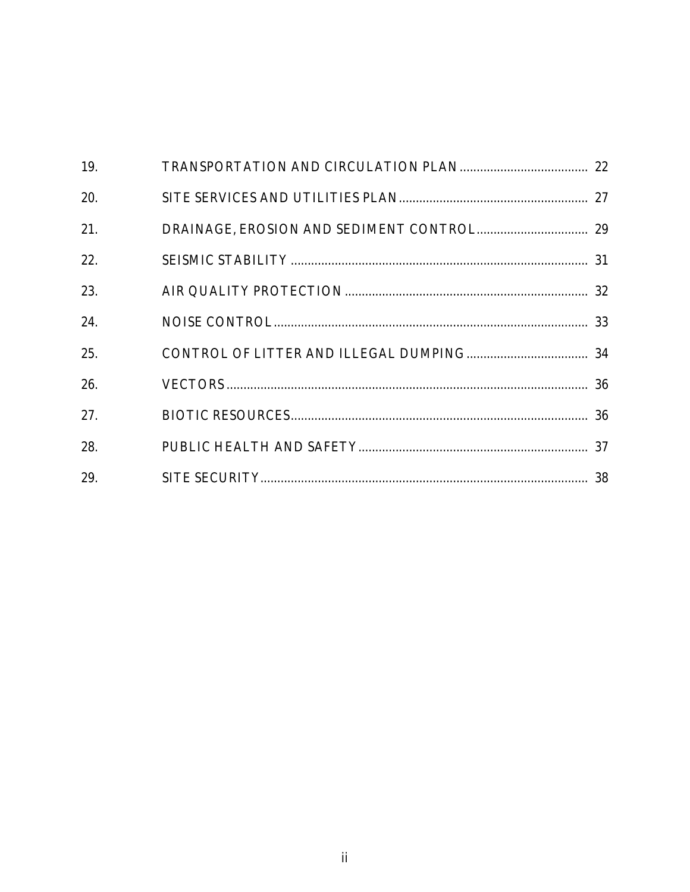| 19. |  |
|-----|--|
| 20. |  |
| 21. |  |
| 22. |  |
| 23. |  |
| 24. |  |
| 25. |  |
| 26. |  |
| 27. |  |
| 28. |  |
| 29. |  |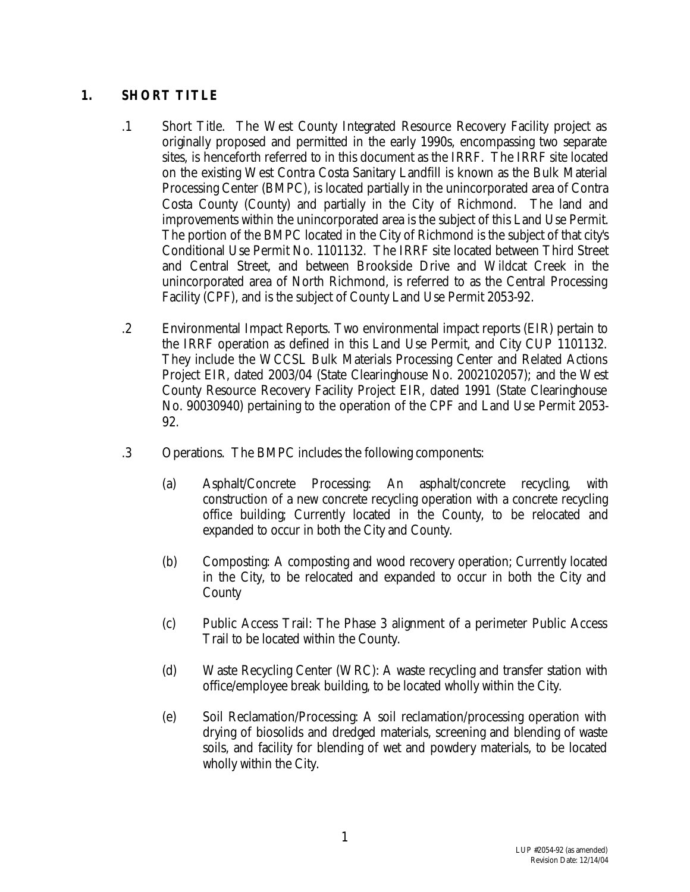## **1. SHORT TITLE**

- .1 Short Title. The West County Integrated Resource Recovery Facility project as originally proposed and permitted in the early 1990s, encompassing two separate sites, is henceforth referred to in this document as the IRRF. The IRRF site located on the existing West Contra Costa Sanitary Landfill is known as the Bulk Material Processing Center (BMPC), is located partially in the unincorporated area of Contra Costa County (County) and partially in the City of Richmond. The land and improvements within the unincorporated area is the subject of this Land Use Permit. The portion of the BMPC located in the City of Richmond is the subject of that city's Conditional Use Permit No. 1101132. The IRRF site located between Third Street and Central Street, and between Brookside Drive and Wildcat Creek in the unincorporated area of North Richmond, is referred to as the Central Processing Facility (CPF), and is the subject of County Land Use Permit 2053-92.
- .2 Environmental Impact Reports. Two environmental impact reports (EIR) pertain to the IRRF operation as defined in this Land Use Permit, and City CUP 1101132. They include the WCCSL Bulk Materials Processing Center and Related Actions Project EIR, dated 2003/04 (State Clearinghouse No. 2002102057); and the West County Resource Recovery Facility Project EIR, dated 1991 (State Clearinghouse No. 90030940) pertaining to the operation of the CPF and Land Use Permit 2053- 92.
- .3 Operations. The BMPC includes the following components:
	- (a) Asphalt/Concrete Processing: An asphalt/concrete recycling, with construction of a new concrete recycling operation with a concrete recycling office building; Currently located in the County, to be relocated and expanded to occur in both the City and County.
	- (b) Composting: A composting and wood recovery operation; Currently located in the City, to be relocated and expanded to occur in both the City and County
	- (c) Public Access Trail: The Phase 3 alignment of a perimeter Public Access Trail to be located within the County.
	- (d) Waste Recycling Center (WRC): A waste recycling and transfer station with office/employee break building, to be located wholly within the City.
	- (e) Soil Reclamation/Processing: A soil reclamation/processing operation with drying of biosolids and dredged materials, screening and blending of waste soils, and facility for blending of wet and powdery materials, to be located wholly within the City.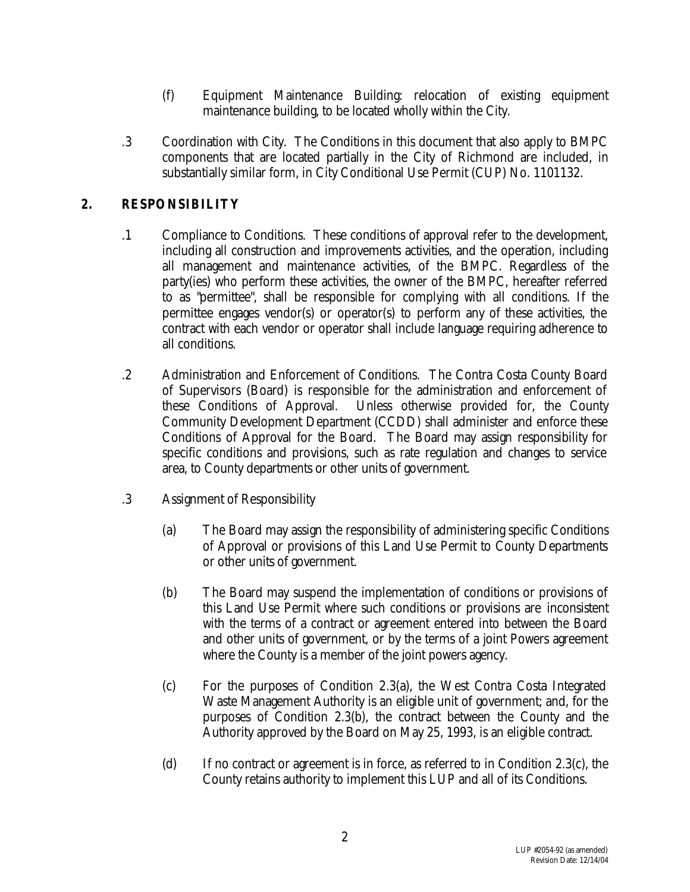- (f) Equipment Maintenance Building: relocation of existing equipment maintenance building, to be located wholly within the City.
- .3 Coordination with City. The Conditions in this document that also apply to BMPC components that are located partially in the City of Richmond are included, in substantially similar form, in City Conditional Use Permit (CUP) No. 1101132.

## **2. RESPONSIBILITY**

- .1 Compliance to Conditions. These conditions of approval refer to the development, including all construction and improvements activities, and the operation, including all management and maintenance activities, of the BMPC. Regardless of the party(ies) who perform these activities, the owner of the BMPC, hereafter referred to as "permittee", shall be responsible for complying with all conditions. If the permittee engages vendor(s) or operator(s) to perform any of these activities, the contract with each vendor or operator shall include language requiring adherence to all conditions.
- .2 Administration and Enforcement of Conditions. The Contra Costa County Board of Supervisors (Board) is responsible for the administration and enforcement of these Conditions of Approval. Unless otherwise provided for, the County Community Development Department (CCDD) shall administer and enforce these Conditions of Approval for the Board. The Board may assign responsibility for specific conditions and provisions, such as rate regulation and changes to service area, to County departments or other units of government.
- .3 Assignment of Responsibility
	- (a) The Board may assign the responsibility of administering specific Conditions of Approval or provisions of this Land Use Permit to County Departments or other units of government.
	- (b) The Board may suspend the implementation of conditions or provisions of this Land Use Permit where such conditions or provisions are inconsistent with the terms of a contract or agreement entered into between the Board and other units of government, or by the terms of a joint Powers agreement where the County is a member of the joint powers agency.
	- (c) For the purposes of Condition 2.3(a), the West Contra Costa Integrated Waste Management Authority is an eligible unit of government; and, for the purposes of Condition 2.3(b), the contract between the County and the Authority approved by the Board on May 25, 1993, is an eligible contract.
	- (d) If no contract or agreement is in force, as referred to in Condition 2.3(c), the County retains authority to implement this LUP and all of its Conditions.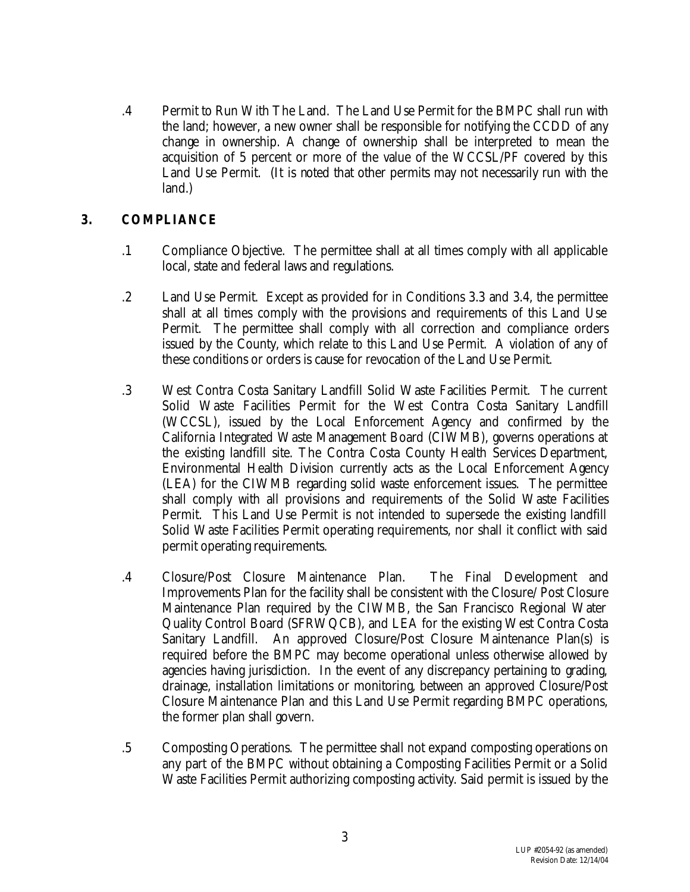.4 Permit to Run With The Land. The Land Use Permit for the BMPC shall run with the land; however, a new owner shall be responsible for notifying the CCDD of any change in ownership. A change of ownership shall be interpreted to mean the acquisition of 5 percent or more of the value of the WCCSL/PF covered by this Land Use Permit. (It is noted that other permits may not necessarily run with the land.)

## **3. COMPLIANCE**

- .1 Compliance Objective. The permittee shall at all times comply with all applicable local, state and federal laws and regulations.
- .2 Land Use Permit. Except as provided for in Conditions 3.3 and 3.4, the permittee shall at all times comply with the provisions and requirements of this Land Use Permit. The permittee shall comply with all correction and compliance orders issued by the County, which relate to this Land Use Permit. A violation of any of these conditions or orders is cause for revocation of the Land Use Permit.
- .3 West Contra Costa Sanitary Landfill Solid Waste Facilities Permit. The current Solid Waste Facilities Permit for the West Contra Costa Sanitary Landfill (WCCSL), issued by the Local Enforcement Agency and confirmed by the California Integrated Waste Management Board (CIWMB), governs operations at the existing landfill site. The Contra Costa County Health Services Department, Environmental Health Division currently acts as the Local Enforcement Agency (LEA) for the CIWMB regarding solid waste enforcement issues. The permittee shall comply with all provisions and requirements of the Solid Waste Facilities Permit. This Land Use Permit is not intended to supersede the existing landfill Solid Waste Facilities Permit operating requirements, nor shall it conflict with said permit operating requirements.
- .4 Closure/Post Closure Maintenance Plan. The Final Development and Improvements Plan for the facility shall be consistent with the Closure/ Post Closure Maintenance Plan required by the CIWMB, the San Francisco Regional Water Quality Control Board (SFRWQCB), and LEA for the existing West Contra Costa Sanitary Landfill. An approved Closure/Post Closure Maintenance Plan(s) is required before the BMPC may become operational unless otherwise allowed by agencies having jurisdiction. In the event of any discrepancy pertaining to grading, drainage, installation limitations or monitoring, between an approved Closure/Post Closure Maintenance Plan and this Land Use Permit regarding BMPC operations, the former plan shall govern.
- .5 Composting Operations. The permittee shall not expand composting operations on any part of the BMPC without obtaining a Composting Facilities Permit or a Solid Waste Facilities Permit authorizing composting activity. Said permit is issued by the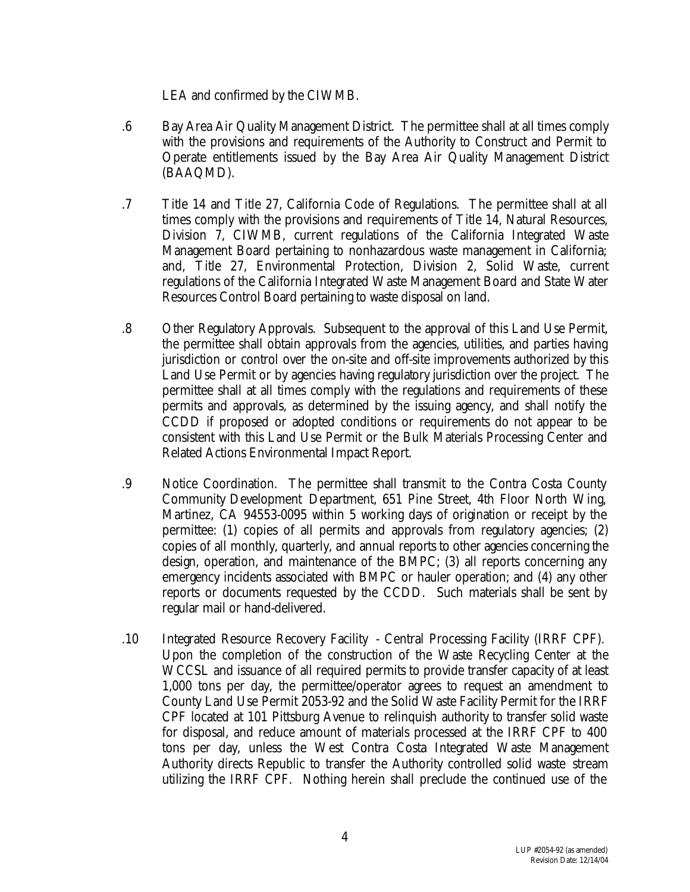LEA and confirmed by the CIWMB.

- .6 Bay Area Air Quality Management District. The permittee shall at all times comply with the provisions and requirements of the Authority to Construct and Permit to Operate entitlements issued by the Bay Area Air Quality Management District (BAAQMD).
- .7 Title 14 and Title 27, California Code of Regulations. The permittee shall at all times comply with the provisions and requirements of Title 14, Natural Resources, Division 7, CIWMB, current regulations of the California Integrated Waste Management Board pertaining to nonhazardous waste management in California; and, Title 27, Environmental Protection, Division 2, Solid Waste, current regulations of the California Integrated Waste Management Board and State Water Resources Control Board pertaining to waste disposal on land.
- .8 Other Regulatory Approvals. Subsequent to the approval of this Land Use Permit, the permittee shall obtain approvals from the agencies, utilities, and parties having jurisdiction or control over the on-site and off-site improvements authorized by this Land Use Permit or by agencies having regulatory jurisdiction over the project. The permittee shall at all times comply with the regulations and requirements of these permits and approvals, as determined by the issuing agency, and shall notify the CCDD if proposed or adopted conditions or requirements do not appear to be consistent with this Land Use Permit or the Bulk Materials Processing Center and Related Actions Environmental Impact Report.
- .9 Notice Coordination. The permittee shall transmit to the Contra Costa County Community Development Department, 651 Pine Street, 4th Floor North Wing, Martinez, CA 94553-0095 within 5 working days of origination or receipt by the permittee: (1) copies of all permits and approvals from regulatory agencies; (2) copies of all monthly, quarterly, and annual reports to other agencies concerning the design, operation, and maintenance of the BMPC; (3) all reports concerning any emergency incidents associated with BMPC or hauler operation; and (4) any other reports or documents requested by the CCDD. Such materials shall be sent by regular mail or hand-delivered.
- .10 Integrated Resource Recovery Facility Central Processing Facility (IRRF CPF). Upon the completion of the construction of the Waste Recycling Center at the WCCSL and issuance of all required permits to provide transfer capacity of at least 1,000 tons per day, the permittee/operator agrees to request an amendment to County Land Use Permit 2053-92 and the Solid Waste Facility Permit for the IRRF CPF located at 101 Pittsburg Avenue to relinquish authority to transfer solid waste for disposal, and reduce amount of materials processed at the IRRF CPF to 400 tons per day, unless the West Contra Costa Integrated Waste Management Authority directs Republic to transfer the Authority controlled solid waste stream utilizing the IRRF CPF. Nothing herein shall preclude the continued use of the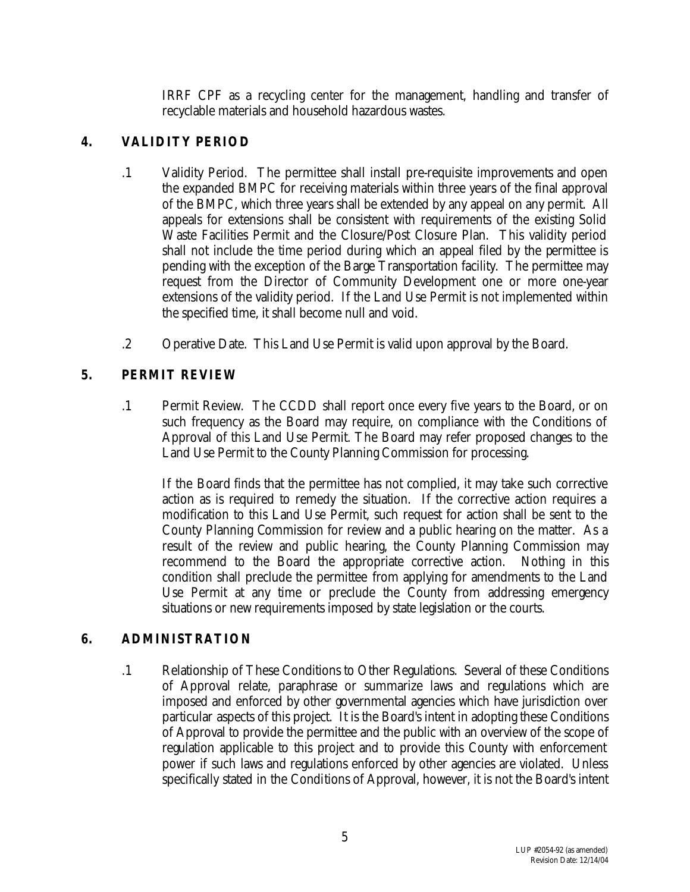IRRF CPF as a recycling center for the management, handling and transfer of recyclable materials and household hazardous wastes.

## **4. VALIDITY PERIOD**

- .1 Validity Period. The permittee shall install pre-requisite improvements and open the expanded BMPC for receiving materials within three years of the final approval of the BMPC, which three years shall be extended by any appeal on any permit. All appeals for extensions shall be consistent with requirements of the existing Solid Waste Facilities Permit and the Closure/Post Closure Plan. This validity period shall not include the time period during which an appeal filed by the permittee is pending with the exception of the Barge Transportation facility. The permittee may request from the Director of Community Development one or more one-year extensions of the validity period. If the Land Use Permit is not implemented within the specified time, it shall become null and void.
- .2 Operative Date. This Land Use Permit is valid upon approval by the Board.

## **5. PERMIT REVIEW**

.1 Permit Review. The CCDD shall report once every five years to the Board, or on such frequency as the Board may require, on compliance with the Conditions of Approval of this Land Use Permit. The Board may refer proposed changes to the Land Use Permit to the County Planning Commission for processing.

If the Board finds that the permittee has not complied, it may take such corrective action as is required to remedy the situation. If the corrective action requires a modification to this Land Use Permit, such request for action shall be sent to the County Planning Commission for review and a public hearing on the matter. As a result of the review and public hearing, the County Planning Commission may recommend to the Board the appropriate corrective action. Nothing in this condition shall preclude the permittee from applying for amendments to the Land Use Permit at any time or preclude the County from addressing emergency situations or new requirements imposed by state legislation or the courts.

#### **6. ADMINISTRATION**

.1 Relationship of These Conditions to Other Regulations. Several of these Conditions of Approval relate, paraphrase or summarize laws and regulations which are imposed and enforced by other governmental agencies which have jurisdiction over particular aspects of this project. It is the Board's intent in adopting these Conditions of Approval to provide the permittee and the public with an overview of the scope of regulation applicable to this project and to provide this County with enforcement power if such laws and regulations enforced by other agencies are violated. Unless specifically stated in the Conditions of Approval, however, it is not the Board's intent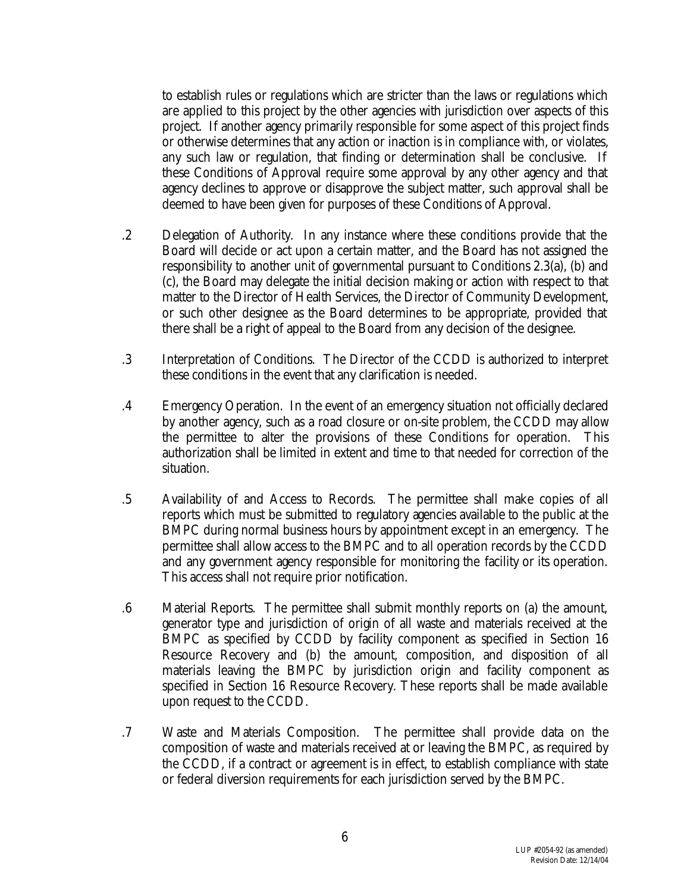to establish rules or regulations which are stricter than the laws or regulations which are applied to this project by the other agencies with jurisdiction over aspects of this project. If another agency primarily responsible for some aspect of this project finds or otherwise determines that any action or inaction is in compliance with, or violates, any such law or regulation, that finding or determination shall be conclusive. If these Conditions of Approval require some approval by any other agency and that agency declines to approve or disapprove the subject matter, such approval shall be deemed to have been given for purposes of these Conditions of Approval.

- .2 Delegation of Authority. In any instance where these conditions provide that the Board will decide or act upon a certain matter, and the Board has not assigned the responsibility to another unit of governmental pursuant to Conditions 2.3(a), (b) and (c), the Board may delegate the initial decision making or action with respect to that matter to the Director of Health Services, the Director of Community Development, or such other designee as the Board determines to be appropriate, provided that there shall be a right of appeal to the Board from any decision of the designee.
- .3 Interpretation of Conditions. The Director of the CCDD is authorized to interpret these conditions in the event that any clarification is needed.
- .4 Emergency Operation. In the event of an emergency situation not officially declared by another agency, such as a road closure or on-site problem, the CCDD may allow the permittee to alter the provisions of these Conditions for operation. This authorization shall be limited in extent and time to that needed for correction of the situation.
- .5 Availability of and Access to Records. The permittee shall make copies of all reports which must be submitted to regulatory agencies available to the public at the BMPC during normal business hours by appointment except in an emergency. The permittee shall allow access to the BMPC and to all operation records by the CCDD and any government agency responsible for monitoring the facility or its operation. This access shall not require prior notification.
- .6 Material Reports. The permittee shall submit monthly reports on (a) the amount, generator type and jurisdiction of origin of all waste and materials received at the BMPC as specified by CCDD by facility component as specified in Section 16 Resource Recovery and (b) the amount, composition, and disposition of all materials leaving the BMPC by jurisdiction origin and facility component as specified in Section 16 Resource Recovery. These reports shall be made available upon request to the CCDD.
- .7 Waste and Materials Composition. The permittee shall provide data on the composition of waste and materials received at or leaving the BMPC, as required by the CCDD, if a contract or agreement is in effect, to establish compliance with state or federal diversion requirements for each jurisdiction served by the BMPC.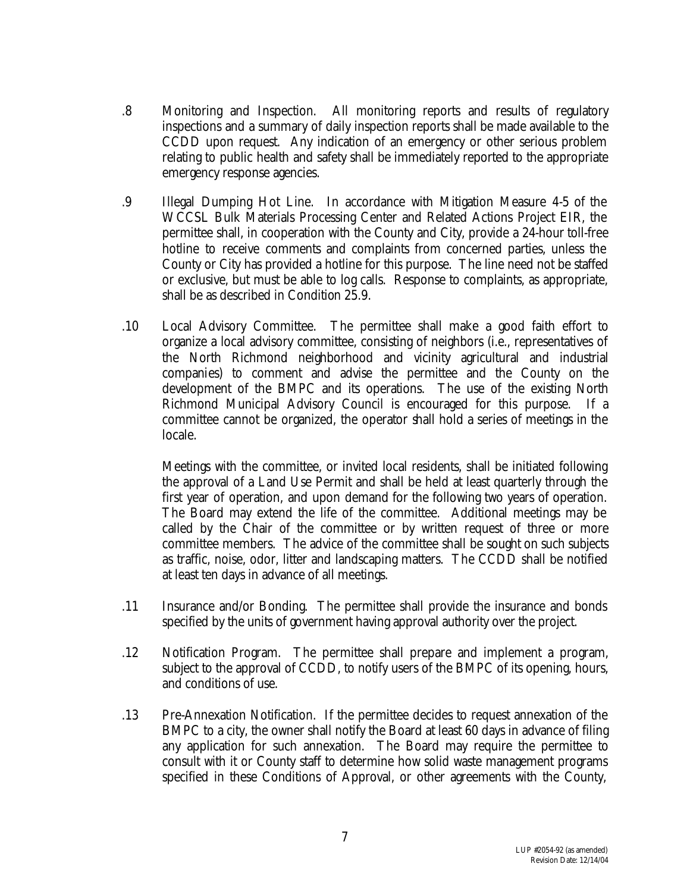- .8 Monitoring and Inspection. All monitoring reports and results of regulatory inspections and a summary of daily inspection reports shall be made available to the CCDD upon request. Any indication of an emergency or other serious problem relating to public health and safety shall be immediately reported to the appropriate emergency response agencies.
- .9 Illegal Dumping Hot Line. In accordance with Mitigation Measure 4-5 of the WCCSL Bulk Materials Processing Center and Related Actions Project EIR, the permittee shall, in cooperation with the County and City, provide a 24-hour toll-free hotline to receive comments and complaints from concerned parties, unless the County or City has provided a hotline for this purpose. The line need not be staffed or exclusive, but must be able to log calls. Response to complaints, as appropriate, shall be as described in Condition 25.9.
- .10 Local Advisory Committee. The permittee shall make a good faith effort to organize a local advisory committee, consisting of neighbors (i.e., representatives of the North Richmond neighborhood and vicinity agricultural and industrial companies) to comment and advise the permittee and the County on the development of the BMPC and its operations. The use of the existing North Richmond Municipal Advisory Council is encouraged for this purpose. If a committee cannot be organized, the operator shall hold a series of meetings in the locale.

Meetings with the committee, or invited local residents, shall be initiated following the approval of a Land Use Permit and shall be held at least quarterly through the first year of operation, and upon demand for the following two years of operation. The Board may extend the life of the committee. Additional meetings may be called by the Chair of the committee or by written request of three or more committee members. The advice of the committee shall be sought on such subjects as traffic, noise, odor, litter and landscaping matters. The CCDD shall be notified at least ten days in advance of all meetings.

- .11 Insurance and/or Bonding. The permittee shall provide the insurance and bonds specified by the units of government having approval authority over the project.
- .12 Notification Program. The permittee shall prepare and implement a program, subject to the approval of CCDD, to notify users of the BMPC of its opening, hours, and conditions of use.
- .13 Pre-Annexation Notification. If the permittee decides to request annexation of the BMPC to a city, the owner shall notify the Board at least 60 days in advance of filing any application for such annexation. The Board may require the permittee to consult with it or County staff to determine how solid waste management programs specified in these Conditions of Approval, or other agreements with the County,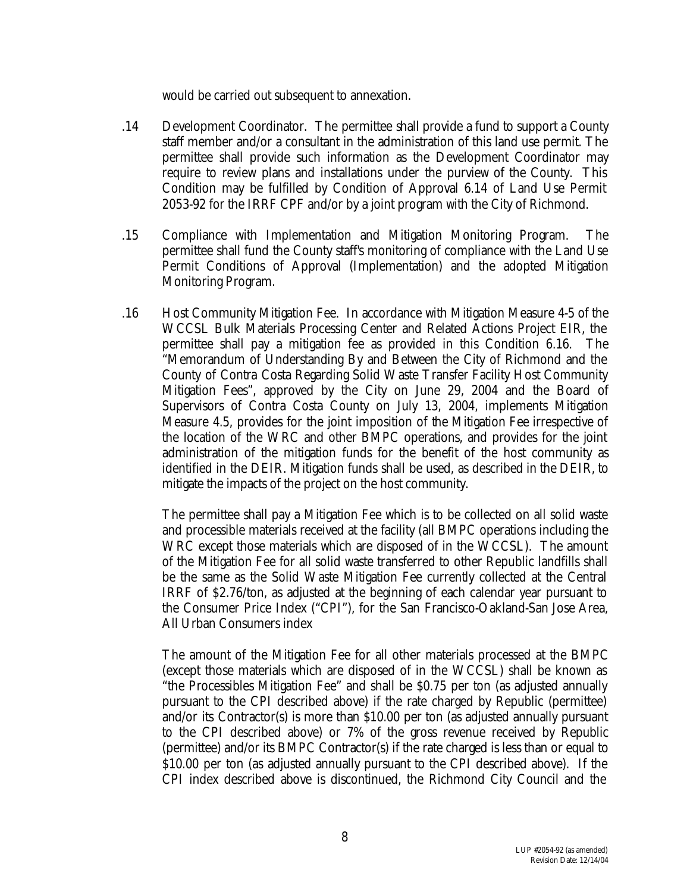would be carried out subsequent to annexation.

- .14 Development Coordinator. The permittee shall provide a fund to support a County staff member and/or a consultant in the administration of this land use permit. The permittee shall provide such information as the Development Coordinator may require to review plans and installations under the purview of the County. This Condition may be fulfilled by Condition of Approval 6.14 of Land Use Permit 2053-92 for the IRRF CPF and/or by a joint program with the City of Richmond.
- .15 Compliance with Implementation and Mitigation Monitoring Program. The permittee shall fund the County staff's monitoring of compliance with the Land Use Permit Conditions of Approval (Implementation) and the adopted Mitigation Monitoring Program.
- .16 Host Community Mitigation Fee. In accordance with Mitigation Measure 4-5 of the WCCSL Bulk Materials Processing Center and Related Actions Project EIR, the permittee shall pay a mitigation fee as provided in this Condition 6.16. The "Memorandum of Understanding By and Between the City of Richmond and the County of Contra Costa Regarding Solid Waste Transfer Facility Host Community Mitigation Fees", approved by the City on June 29, 2004 and the Board of Supervisors of Contra Costa County on July 13, 2004, implements Mitigation Measure 4.5, provides for the joint imposition of the Mitigation Fee irrespective of the location of the WRC and other BMPC operations, and provides for the joint administration of the mitigation funds for the benefit of the host community as identified in the DEIR. Mitigation funds shall be used, as described in the DEIR, to mitigate the impacts of the project on the host community.

The permittee shall pay a Mitigation Fee which is to be collected on all solid waste and processible materials received at the facility (all BMPC operations including the WRC except those materials which are disposed of in the WCCSL). The amount of the Mitigation Fee for all solid waste transferred to other Republic landfills shall be the same as the Solid Waste Mitigation Fee currently collected at the Central IRRF of \$2.76/ton, as adjusted at the beginning of each calendar year pursuant to the Consumer Price Index ("CPI"), for the San Francisco-Oakland-San Jose Area, All Urban Consumers index

The amount of the Mitigation Fee for all other materials processed at the BMPC (except those materials which are disposed of in the WCCSL) shall be known as "the Processibles Mitigation Fee" and shall be \$0.75 per ton (as adjusted annually pursuant to the CPI described above) if the rate charged by Republic (permittee) and/or its Contractor(s) is more than \$10.00 per ton (as adjusted annually pursuant to the CPI described above) or 7% of the gross revenue received by Republic (permittee) and/or its BMPC Contractor(s) if the rate charged is less than or equal to \$10.00 per ton (as adjusted annually pursuant to the CPI described above). If the CPI index described above is discontinued, the Richmond City Council and the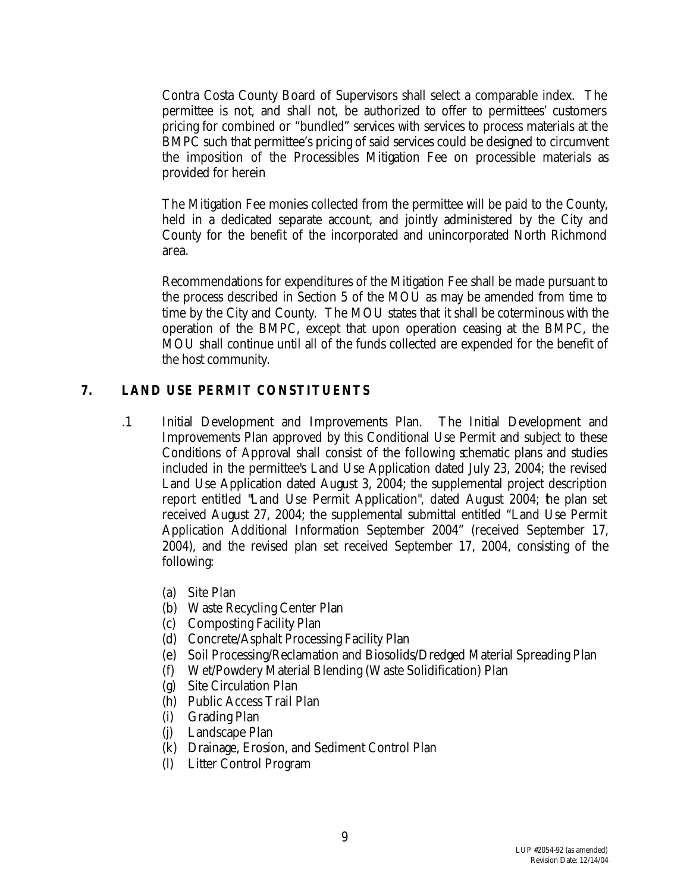Contra Costa County Board of Supervisors shall select a comparable index. The permittee is not, and shall not, be authorized to offer to permittees' customers pricing for combined or "bundled" services with services to process materials at the BMPC such that permittee's pricing of said services could be designed to circumvent the imposition of the Processibles Mitigation Fee on processible materials as provided for herein

The Mitigation Fee monies collected from the permittee will be paid to the County, held in a dedicated separate account, and jointly administered by the City and County for the benefit of the incorporated and unincorporated North Richmond area.

Recommendations for expenditures of the Mitigation Fee shall be made pursuant to the process described in Section 5 of the MOU as may be amended from time to time by the City and County. The MOU states that it shall be coterminous with the operation of the BMPC, except that upon operation ceasing at the BMPC, the MOU shall continue until all of the funds collected are expended for the benefit of the host community.

#### **7. LAND USE PERMIT CONSTITUENTS**

- .1 Initial Development and Improvements Plan. The Initial Development and Improvements Plan approved by this Conditional Use Permit and subject to these Conditions of Approval shall consist of the following schematic plans and studies included in the permittee's Land Use Application dated July 23, 2004; the revised Land Use Application dated August 3, 2004; the supplemental project description report entitled "Land Use Permit Application", dated August 2004; the plan set received August 27, 2004; the supplemental submittal entitled "Land Use Permit Application Additional Information September 2004" (received September 17, 2004), and the revised plan set received September 17, 2004, consisting of the following:
	- (a) Site Plan
	- (b) Waste Recycling Center Plan
	- (c) Composting Facility Plan
	- (d) Concrete/Asphalt Processing Facility Plan
	- (e) Soil Processing/Reclamation and Biosolids/Dredged Material Spreading Plan
	- (f) Wet/Powdery Material Blending (Waste Solidification) Plan
	- (g) Site Circulation Plan
	- (h) Public Access Trail Plan
	- (i) Grading Plan
	- (j) Landscape Plan
	- (k) Drainage, Erosion, and Sediment Control Plan
	- (l) Litter Control Program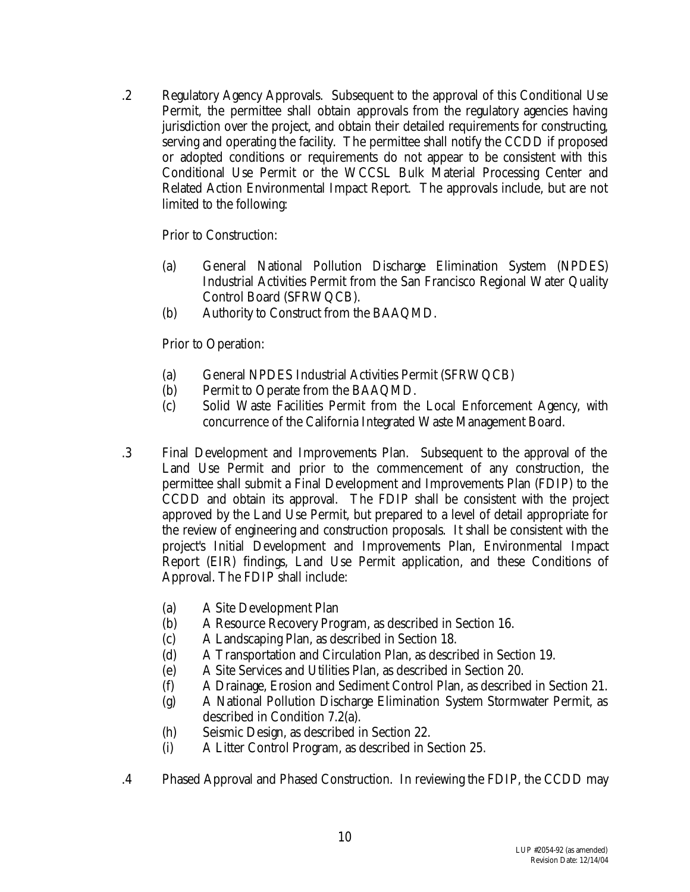.2 Regulatory Agency Approvals. Subsequent to the approval of this Conditional Use Permit, the permittee shall obtain approvals from the regulatory agencies having jurisdiction over the project, and obtain their detailed requirements for constructing, serving and operating the facility. The permittee shall notify the CCDD if proposed or adopted conditions or requirements do not appear to be consistent with this Conditional Use Permit or the WCCSL Bulk Material Processing Center and Related Action Environmental Impact Report. The approvals include, but are not limited to the following:

Prior to Construction:

- (a) General National Pollution Discharge Elimination System (NPDES) Industrial Activities Permit from the San Francisco Regional Water Quality Control Board (SFRWQCB).
- (b) Authority to Construct from the BAAQMD.

Prior to Operation:

- (a) General NPDES Industrial Activities Permit (SFRWQCB)
- (b) Permit to Operate from the BAAQMD.
- (c) Solid Waste Facilities Permit from the Local Enforcement Agency, with concurrence of the California Integrated Waste Management Board.
- .3 Final Development and Improvements Plan. Subsequent to the approval of the Land Use Permit and prior to the commencement of any construction, the permittee shall submit a Final Development and Improvements Plan (FDIP) to the CCDD and obtain its approval. The FDIP shall be consistent with the project approved by the Land Use Permit, but prepared to a level of detail appropriate for the review of engineering and construction proposals. It shall be consistent with the project's Initial Development and Improvements Plan, Environmental Impact Report (EIR) findings, Land Use Permit application, and these Conditions of Approval. The FDIP shall include:
	- (a) A Site Development Plan
	- (b) A Resource Recovery Program, as described in Section 16.
	- (c) A Landscaping Plan, as described in Section 18.
	- (d) A Transportation and Circulation Plan, as described in Section 19.
	- (e) A Site Services and Utilities Plan, as described in Section 20.
	- (f) A Drainage, Erosion and Sediment Control Plan, as described in Section 21.
	- (g) A National Pollution Discharge Elimination System Stormwater Permit, as described in Condition 7.2(a).
	- (h) Seismic Design, as described in Section 22.
	- (i) A Litter Control Program, as described in Section 25.
- .4 Phased Approval and Phased Construction. In reviewing the FDIP, the CCDD may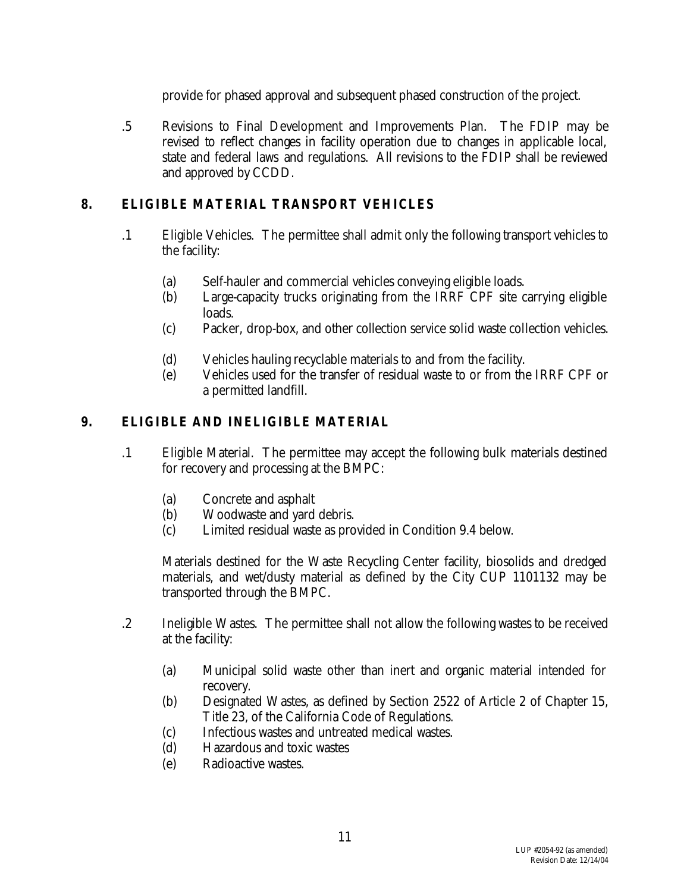provide for phased approval and subsequent phased construction of the project.

.5 Revisions to Final Development and Improvements Plan. The FDIP may be revised to reflect changes in facility operation due to changes in applicable local, state and federal laws and regulations. All revisions to the FDIP shall be reviewed and approved by CCDD.

## **8. ELIGIBLE MATERIAL TRANSPORT VEHICLES**

- .1 Eligible Vehicles. The permittee shall admit only the following transport vehicles to the facility:
	- (a) Self-hauler and commercial vehicles conveying eligible loads.
	- (b) Large-capacity trucks originating from the IRRF CPF site carrying eligible loads.
	- (c) Packer, drop-box, and other collection service solid waste collection vehicles.
	- (d) Vehicles hauling recyclable materials to and from the facility.
	- (e) Vehicles used for the transfer of residual waste to or from the IRRF CPF or a permitted landfill.

## **9. ELIGIBLE AND INELIGIBLE MATERIAL**

- .1 Eligible Material. The permittee may accept the following bulk materials destined for recovery and processing at the BMPC:
	- (a) Concrete and asphalt
	- (b) Woodwaste and yard debris.
	- (c) Limited residual waste as provided in Condition 9.4 below.

Materials destined for the Waste Recycling Center facility, biosolids and dredged materials, and wet/dusty material as defined by the City CUP 1101132 may be transported through the BMPC.

- .2 Ineligible Wastes. The permittee shall not allow the following wastes to be received at the facility:
	- (a) Municipal solid waste other than inert and organic material intended for recovery.
	- (b) Designated Wastes, as defined by Section 2522 of Article 2 of Chapter 15, Title 23, of the California Code of Regulations.
	- (c) Infectious wastes and untreated medical wastes.
	- (d) Hazardous and toxic wastes
	- (e) Radioactive wastes.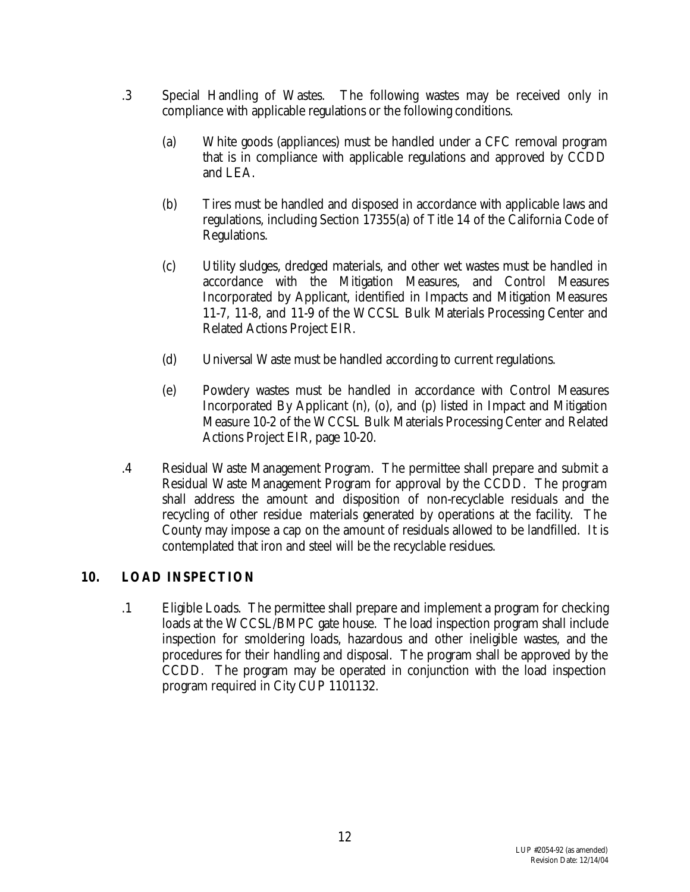- .3 Special Handling of Wastes. The following wastes may be received only in compliance with applicable regulations or the following conditions.
	- (a) White goods (appliances) must be handled under a CFC removal program that is in compliance with applicable regulations and approved by CCDD and LEA.
	- (b) Tires must be handled and disposed in accordance with applicable laws and regulations, including Section 17355(a) of Title 14 of the California Code of Regulations.
	- (c) Utility sludges, dredged materials, and other wet wastes must be handled in accordance with the Mitigation Measures, and Control Measures Incorporated by Applicant, identified in Impacts and Mitigation Measures 11-7, 11-8, and 11-9 of the WCCSL Bulk Materials Processing Center and Related Actions Project EIR.
	- (d) Universal Waste must be handled according to current regulations.
	- (e) Powdery wastes must be handled in accordance with Control Measures Incorporated By Applicant (n), (o), and (p) listed in Impact and Mitigation Measure 10-2 of the WCCSL Bulk Materials Processing Center and Related Actions Project EIR, page 10-20.
- .4 Residual Waste Management Program. The permittee shall prepare and submit a Residual Waste Management Program for approval by the CCDD. The program shall address the amount and disposition of non-recyclable residuals and the recycling of other residue materials generated by operations at the facility. The County may impose a cap on the amount of residuals allowed to be landfilled. It is contemplated that iron and steel will be the recyclable residues.

#### **10. LOAD INSPECTION**

.1 Eligible Loads. The permittee shall prepare and implement a program for checking loads at the WCCSL/BMPC gate house. The load inspection program shall include inspection for smoldering loads, hazardous and other ineligible wastes, and the procedures for their handling and disposal. The program shall be approved by the CCDD. The program may be operated in conjunction with the load inspection program required in City CUP 1101132.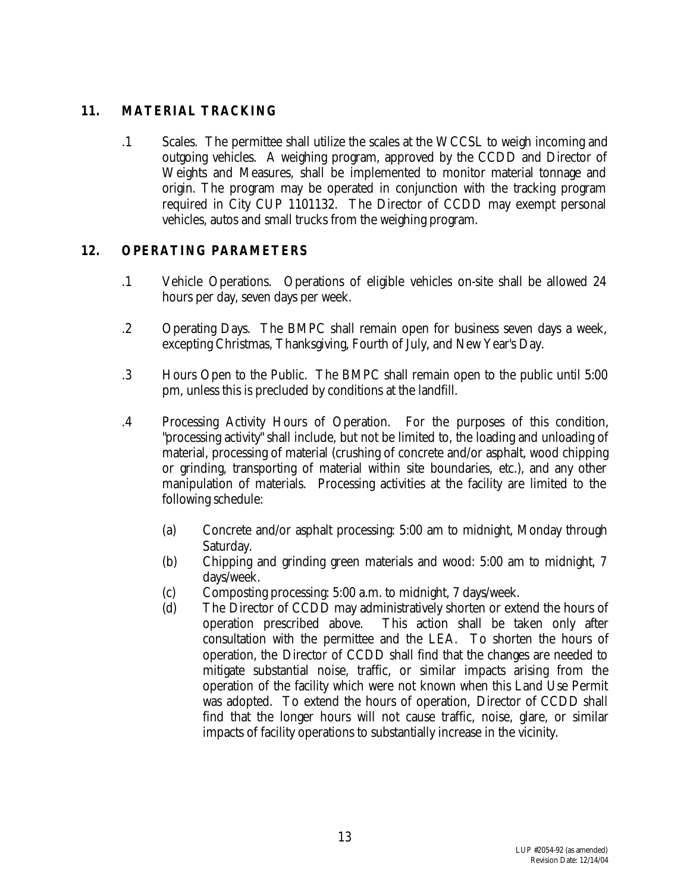## **11. MATERIAL TRACKING**

.1 Scales. The permittee shall utilize the scales at the WCCSL to weigh incoming and outgoing vehicles. A weighing program, approved by the CCDD and Director of Weights and Measures, shall be implemented to monitor material tonnage and origin. The program may be operated in conjunction with the tracking program required in City CUP 1101132. The Director of CCDD may exempt personal vehicles, autos and small trucks from the weighing program.

## **12. OPERATING PARAMETERS**

- .1 Vehicle Operations. Operations of eligible vehicles on-site shall be allowed 24 hours per day, seven days per week.
- .2 Operating Days. The BMPC shall remain open for business seven days a week, excepting Christmas, Thanksgiving, Fourth of July, and New Year's Day.
- .3 Hours Open to the Public. The BMPC shall remain open to the public until 5:00 pm, unless this is precluded by conditions at the landfill.
- .4 Processing Activity Hours of Operation. For the purposes of this condition, "processing activity" shall include, but not be limited to, the loading and unloading of material, processing of material (crushing of concrete and/or asphalt, wood chipping or grinding, transporting of material within site boundaries, etc.), and any other manipulation of materials. Processing activities at the facility are limited to the following schedule:
	- (a) Concrete and/or asphalt processing: 5:00 am to midnight, Monday through Saturday.
	- (b) Chipping and grinding green materials and wood: 5:00 am to midnight, 7 days/week.
	- (c) Composting processing: 5:00 a.m. to midnight, 7 days/week.
	- (d) The Director of CCDD may administratively shorten or extend the hours of operation prescribed above. This action shall be taken only after consultation with the permittee and the LEA. To shorten the hours of operation, the Director of CCDD shall find that the changes are needed to mitigate substantial noise, traffic, or similar impacts arising from the operation of the facility which were not known when this Land Use Permit was adopted. To extend the hours of operation, Director of CCDD shall find that the longer hours will not cause traffic, noise, glare, or similar impacts of facility operations to substantially increase in the vicinity.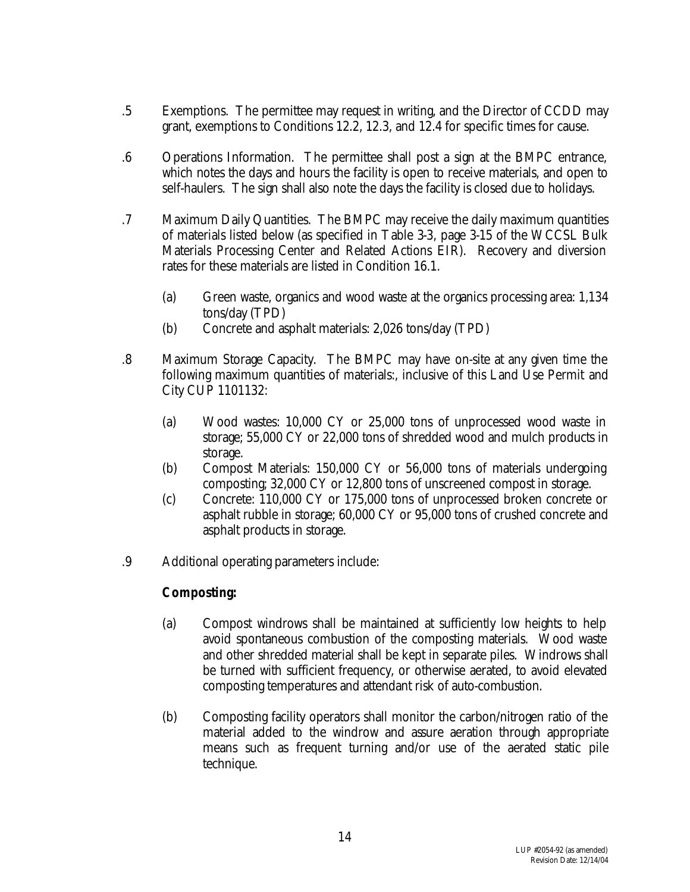- .5 Exemptions. The permittee may request in writing, and the Director of CCDD may grant, exemptions to Conditions 12.2, 12.3, and 12.4 for specific times for cause.
- .6 Operations Information. The permittee shall post a sign at the BMPC entrance, which notes the days and hours the facility is open to receive materials, and open to self-haulers. The sign shall also note the days the facility is closed due to holidays.
- .7 Maximum Daily Quantities. The BMPC may receive the daily maximum quantities of materials listed below (as specified in Table 3-3, page 3-15 of the WCCSL Bulk Materials Processing Center and Related Actions EIR). Recovery and diversion rates for these materials are listed in Condition 16.1.
	- (a) Green waste, organics and wood waste at the organics processing area: 1,134 tons/day (TPD)
	- (b) Concrete and asphalt materials: 2,026 tons/day (TPD)
- .8 Maximum Storage Capacity. The BMPC may have on-site at any given time the following maximum quantities of materials:, inclusive of this Land Use Permit and City CUP 1101132:
	- (a) Wood wastes: 10,000 CY or 25,000 tons of unprocessed wood waste in storage; 55,000 CY or 22,000 tons of shredded wood and mulch products in storage.
	- (b) Compost Materials: 150,000 CY or 56,000 tons of materials undergoing composting; 32,000 CY or 12,800 tons of unscreened compost in storage.
	- (c) Concrete: 110,000 CY or 175,000 tons of unprocessed broken concrete or asphalt rubble in storage; 60,000 CY or 95,000 tons of crushed concrete and asphalt products in storage.
- .9 Additional operating parameters include:

## **Composting:**

- (a) Compost windrows shall be maintained at sufficiently low heights to help avoid spontaneous combustion of the composting materials. Wood waste and other shredded material shall be kept in separate piles. Windrows shall be turned with sufficient frequency, or otherwise aerated, to avoid elevated composting temperatures and attendant risk of auto-combustion.
- (b) Composting facility operators shall monitor the carbon/nitrogen ratio of the material added to the windrow and assure aeration through appropriate means such as frequent turning and/or use of the aerated static pile technique.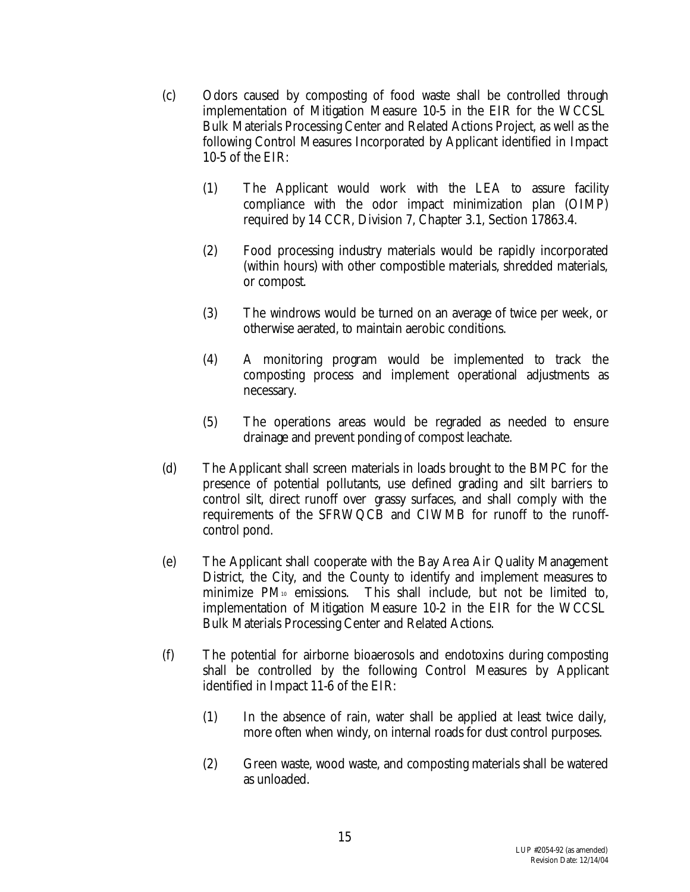- (c) Odors caused by composting of food waste shall be controlled through implementation of Mitigation Measure 10-5 in the EIR for the WCCSL Bulk Materials Processing Center and Related Actions Project, as well as the following Control Measures Incorporated by Applicant identified in Impact 10-5 of the EIR:
	- (1) The Applicant would work with the LEA to assure facility compliance with the odor impact minimization plan (OIMP) required by 14 CCR, Division 7, Chapter 3.1, Section 17863.4.
	- (2) Food processing industry materials would be rapidly incorporated (within hours) with other compostible materials, shredded materials, or compost.
	- (3) The windrows would be turned on an average of twice per week, or otherwise aerated, to maintain aerobic conditions.
	- (4) A monitoring program would be implemented to track the composting process and implement operational adjustments as necessary.
	- (5) The operations areas would be regraded as needed to ensure drainage and prevent ponding of compost leachate.
- (d) The Applicant shall screen materials in loads brought to the BMPC for the presence of potential pollutants, use defined grading and silt barriers to control silt, direct runoff over grassy surfaces, and shall comply with the requirements of the SFRWQCB and CIWMB for runoff to the runoffcontrol pond.
- (e) The Applicant shall cooperate with the Bay Area Air Quality Management District, the City, and the County to identify and implement measures to minimize PM10 emissions. This shall include, but not be limited to, implementation of Mitigation Measure 10-2 in the EIR for the WCCSL Bulk Materials Processing Center and Related Actions.
- (f) The potential for airborne bioaerosols and endotoxins during composting shall be controlled by the following Control Measures by Applicant identified in Impact 11-6 of the EIR:
	- (1) In the absence of rain, water shall be applied at least twice daily, more often when windy, on internal roads for dust control purposes.
	- (2) Green waste, wood waste, and composting materials shall be watered as unloaded.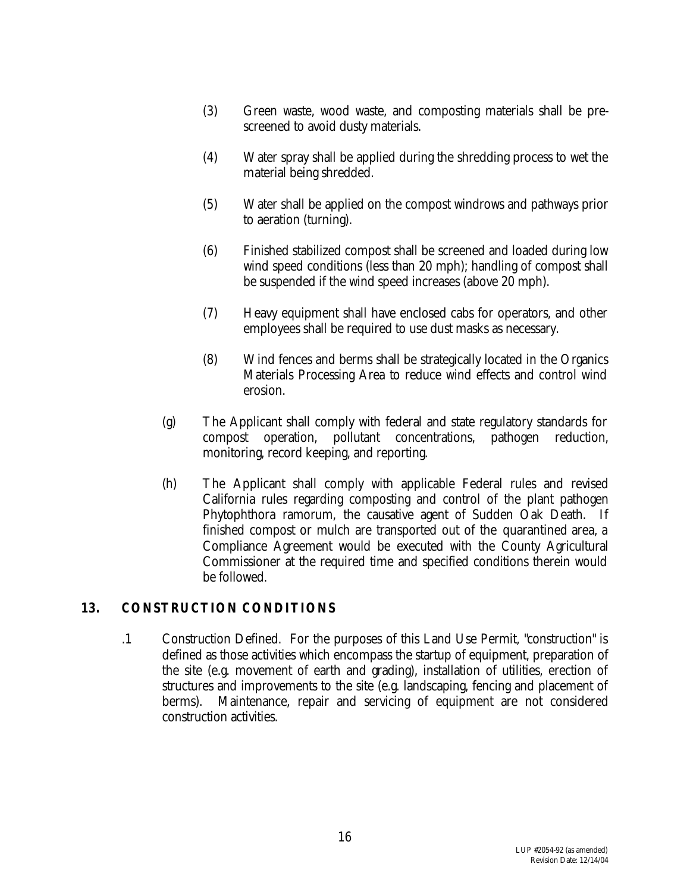- (3) Green waste, wood waste, and composting materials shall be prescreened to avoid dusty materials.
- (4) Water spray shall be applied during the shredding process to wet the material being shredded.
- (5) Water shall be applied on the compost windrows and pathways prior to aeration (turning).
- (6) Finished stabilized compost shall be screened and loaded during low wind speed conditions (less than 20 mph); handling of compost shall be suspended if the wind speed increases (above 20 mph).
- (7) Heavy equipment shall have enclosed cabs for operators, and other employees shall be required to use dust masks as necessary.
- (8) Wind fences and berms shall be strategically located in the Organics Materials Processing Area to reduce wind effects and control wind erosion.
- (g) The Applicant shall comply with federal and state regulatory standards for compost operation, pollutant concentrations, pathogen reduction, monitoring, record keeping, and reporting.
- (h) The Applicant shall comply with applicable Federal rules and revised California rules regarding composting and control of the plant pathogen *Phytophthora ramorum,* the causative agent of Sudden Oak Death*.* If finished compost or mulch are transported out of the quarantined area, a Compliance Agreement would be executed with the County Agricultural Commissioner at the required time and specified conditions therein would be followed.

#### **13. CONSTRUCTION CONDITIONS**

.1 Construction Defined. For the purposes of this Land Use Permit, "construction" is defined as those activities which encompass the startup of equipment, preparation of the site (e.g. movement of earth and grading), installation of utilities, erection of structures and improvements to the site (e.g. landscaping, fencing and placement of berms). Maintenance, repair and servicing of equipment are not considered construction activities.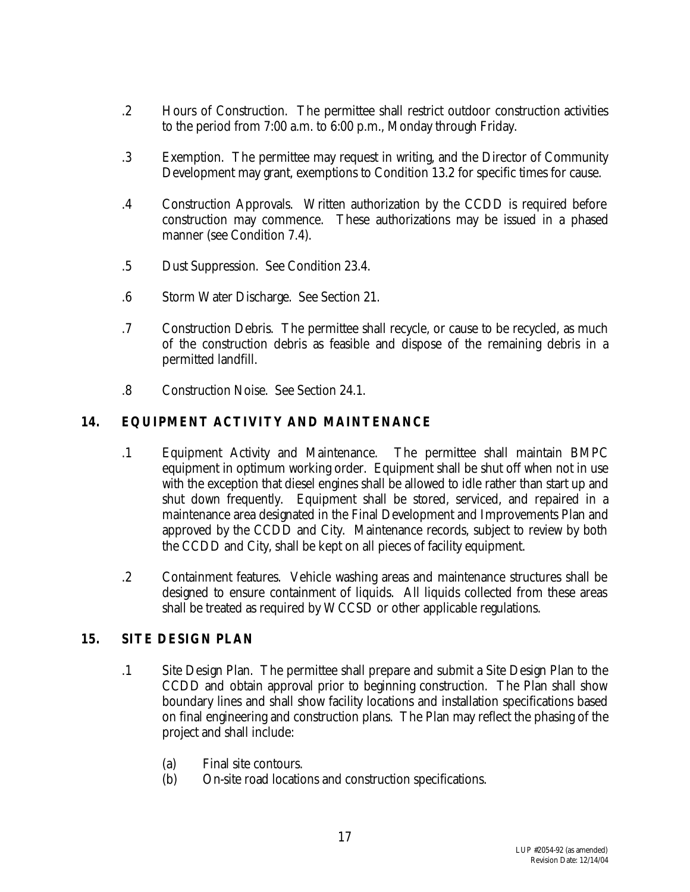- .2 Hours of Construction. The permittee shall restrict outdoor construction activities to the period from 7:00 a.m. to 6:00 p.m., Monday through Friday.
- .3 Exemption. The permittee may request in writing, and the Director of Community Development may grant, exemptions to Condition 13.2 for specific times for cause.
- .4 Construction Approvals. Written authorization by the CCDD is required before construction may commence. These authorizations may be issued in a phased manner (see Condition 7.4).
- .5 Dust Suppression. See Condition 23.4.
- .6 Storm Water Discharge. See Section 21.
- .7 Construction Debris. The permittee shall recycle, or cause to be recycled, as much of the construction debris as feasible and dispose of the remaining debris in a permitted landfill.
- .8 Construction Noise. See Section 24.1.

## **14. EQUIPMENT ACTIVITY AND MAINTENANCE**

- .1 Equipment Activity and Maintenance. The permittee shall maintain BMPC equipment in optimum working order. Equipment shall be shut off when not in use with the exception that diesel engines shall be allowed to idle rather than start up and shut down frequently. Equipment shall be stored, serviced, and repaired in a maintenance area designated in the Final Development and Improvements Plan and approved by the CCDD and City. Maintenance records, subject to review by both the CCDD and City, shall be kept on all pieces of facility equipment.
- .2 Containment features. Vehicle washing areas and maintenance structures shall be designed to ensure containment of liquids. All liquids collected from these areas shall be treated as required by WCCSD or other applicable regulations.

#### **15. SITE DESIGN PLAN**

- .1 Site Design Plan. The permittee shall prepare and submit a Site Design Plan to the CCDD and obtain approval prior to beginning construction. The Plan shall show boundary lines and shall show facility locations and installation specifications based on final engineering and construction plans. The Plan may reflect the phasing of the project and shall include:
	- (a) Final site contours.
	- (b) On-site road locations and construction specifications.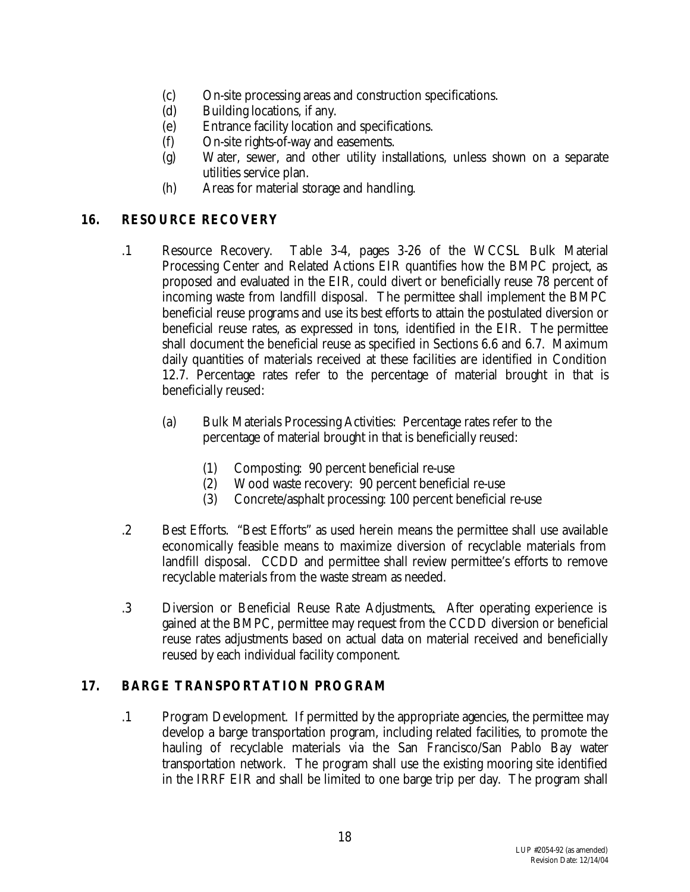- (c) On-site processing areas and construction specifications.
- (d) Building locations, if any.
- (e) Entrance facility location and specifications.
- (f) On-site rights-of-way and easements.
- (g) Water, sewer, and other utility installations, unless shown on a separate utilities service plan.
- (h) Areas for material storage and handling.

## **16. RESOURCE RECOVERY**

- .1 Resource Recovery. Table 3-4, pages 3-26 of the WCCSL Bulk Material Processing Center and Related Actions EIR quantifies how the BMPC project, as proposed and evaluated in the EIR, could divert or beneficially reuse 78 percent of incoming waste from landfill disposal. The permittee shall implement the BMPC beneficial reuse programs and use its best efforts to attain the postulated diversion or beneficial reuse rates, as expressed in tons, identified in the EIR. The permittee shall document the beneficial reuse as specified in Sections 6.6 and 6.7. Maximum daily quantities of materials received at these facilities are identified in Condition 12.7. Percentage rates refer to the percentage of material brought in that is beneficially reused:
	- (a) Bulk Materials Processing Activities: Percentage rates refer to the percentage of material brought in that is beneficially reused:
		- (1) Composting: 90 percent beneficial re-use
		- (2) Wood waste recovery: 90 percent beneficial re-use
		- (3) Concrete/asphalt processing: 100 percent beneficial re-use
- .2 Best Efforts. "Best Efforts" as used herein means the permittee shall use available economically feasible means to maximize diversion of recyclable materials from landfill disposal. CCDD and permittee shall review permittee's efforts to remove recyclable materials from the waste stream as needed.
- .3 Diversion or Beneficial Reuse Rate Adjustments. After operating experience is gained at the BMPC, permittee may request from the CCDD diversion or beneficial reuse rates adjustments based on actual data on material received and beneficially reused by each individual facility component.

## **17. BARGE TRANSPORTATION PROGRAM**

.1 Program Development. If permitted by the appropriate agencies, the permittee may develop a barge transportation program, including related facilities, to promote the hauling of recyclable materials via the San Francisco/San Pablo Bay water transportation network. The program shall use the existing mooring site identified in the IRRF EIR and shall be limited to one barge trip per day. The program shall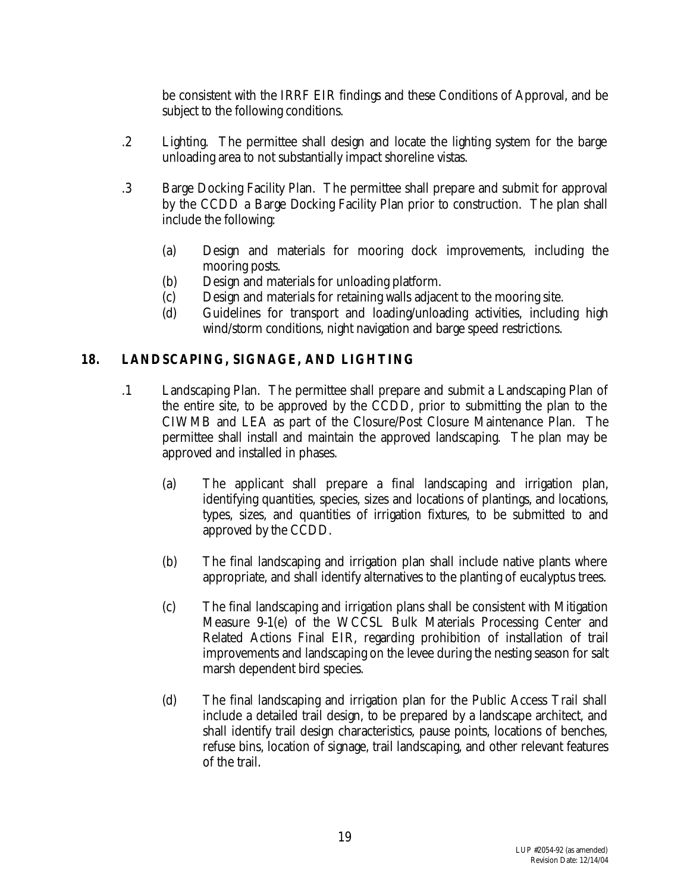be consistent with the IRRF EIR findings and these Conditions of Approval, and be subject to the following conditions.

- .2 Lighting. The permittee shall design and locate the lighting system for the barge unloading area to not substantially impact shoreline vistas.
- .3 Barge Docking Facility Plan. The permittee shall prepare and submit for approval by the CCDD a Barge Docking Facility Plan prior to construction. The plan shall include the following:
	- (a) Design and materials for mooring dock improvements, including the mooring posts.
	- (b) Design and materials for unloading platform.
	- (c) Design and materials for retaining walls adjacent to the mooring site.
	- (d) Guidelines for transport and loading/unloading activities, including high wind/storm conditions, night navigation and barge speed restrictions.

## **18. LANDSCAPING, SIGNAGE, AND LIGHTING**

- .1 Landscaping Plan. The permittee shall prepare and submit a Landscaping Plan of the entire site, to be approved by the CCDD, prior to submitting the plan to the CIWMB and LEA as part of the Closure/Post Closure Maintenance Plan. The permittee shall install and maintain the approved landscaping. The plan may be approved and installed in phases.
	- (a) The applicant shall prepare a final landscaping and irrigation plan, identifying quantities, species, sizes and locations of plantings, and locations, types, sizes, and quantities of irrigation fixtures, to be submitted to and approved by the CCDD.
	- (b) The final landscaping and irrigation plan shall include native plants where appropriate, and shall identify alternatives to the planting of eucalyptus trees.
	- (c) The final landscaping and irrigation plans shall be consistent with Mitigation Measure 9-1(e) of the WCCSL Bulk Materials Processing Center and Related Actions Final EIR, regarding prohibition of installation of trail improvements and landscaping on the levee during the nesting season for salt marsh dependent bird species.
	- (d) The final landscaping and irrigation plan for the Public Access Trail shall include a detailed trail design, to be prepared by a landscape architect, and shall identify trail design characteristics, pause points, locations of benches, refuse bins, location of signage, trail landscaping, and other relevant features of the trail.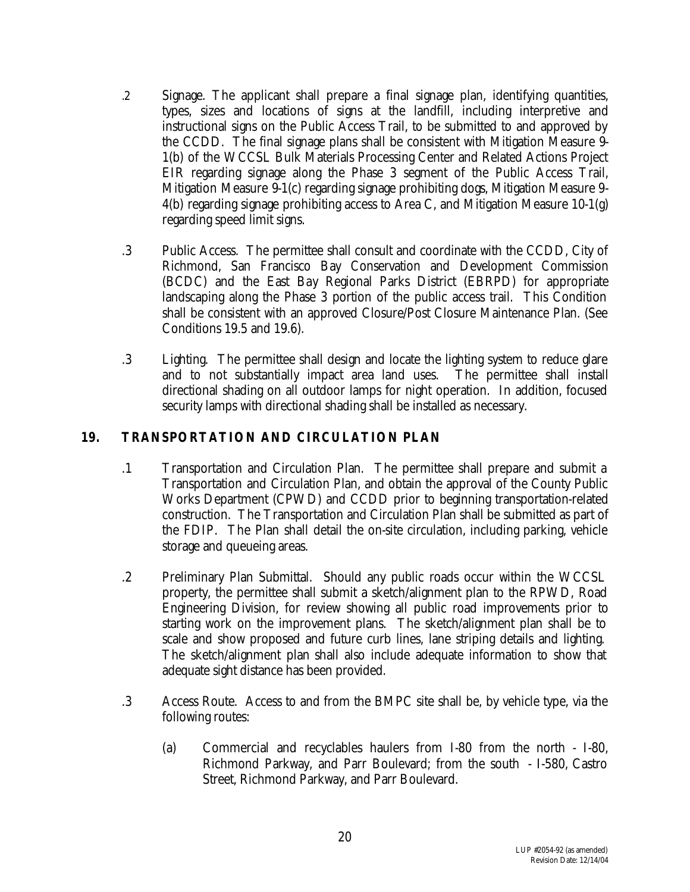- .2 Signage. The applicant shall prepare a final signage plan, identifying quantities, types, sizes and locations of signs at the landfill, including interpretive and instructional signs on the Public Access Trail, to be submitted to and approved by the CCDD. The final signage plans shall be consistent with Mitigation Measure 9- 1(b) of the WCCSL Bulk Materials Processing Center and Related Actions Project EIR regarding signage along the Phase 3 segment of the Public Access Trail, Mitigation Measure 9-1(c) regarding signage prohibiting dogs, Mitigation Measure 9- 4(b) regarding signage prohibiting access to Area C, and Mitigation Measure 10-1(g) regarding speed limit signs.
- .3 Public Access. The permittee shall consult and coordinate with the CCDD, City of Richmond, San Francisco Bay Conservation and Development Commission (BCDC) and the East Bay Regional Parks District (EBRPD) for appropriate landscaping along the Phase 3 portion of the public access trail. This Condition shall be consistent with an approved Closure/Post Closure Maintenance Plan. (See Conditions 19.5 and 19.6).
- .3 Lighting. The permittee shall design and locate the lighting system to reduce glare and to not substantially impact area land uses. The permittee shall install directional shading on all outdoor lamps for night operation. In addition, focused security lamps with directional shading shall be installed as necessary.

## **19. TRANSPORTATION AND CIRCULATION PLAN**

- .1 Transportation and Circulation Plan. The permittee shall prepare and submit a Transportation and Circulation Plan, and obtain the approval of the County Public Works Department (CPWD) and CCDD prior to beginning transportation-related construction. The Transportation and Circulation Plan shall be submitted as part of the FDIP. The Plan shall detail the on-site circulation, including parking, vehicle storage and queueing areas.
- .2 Preliminary Plan Submittal. Should any public roads occur within the WCCSL property, the permittee shall submit a sketch/alignment plan to the RPWD, Road Engineering Division, for review showing all public road improvements prior to starting work on the improvement plans. The sketch/alignment plan shall be to scale and show proposed and future curb lines, lane striping details and lighting. The sketch/alignment plan shall also include adequate information to show that adequate sight distance has been provided.
- .3 Access Route. Access to and from the BMPC site shall be, by vehicle type, via the following routes:
	- (a) Commercial and recyclables haulers from I-80 from the north I-80, Richmond Parkway, and Parr Boulevard; from the south - I-580, Castro Street, Richmond Parkway, and Parr Boulevard.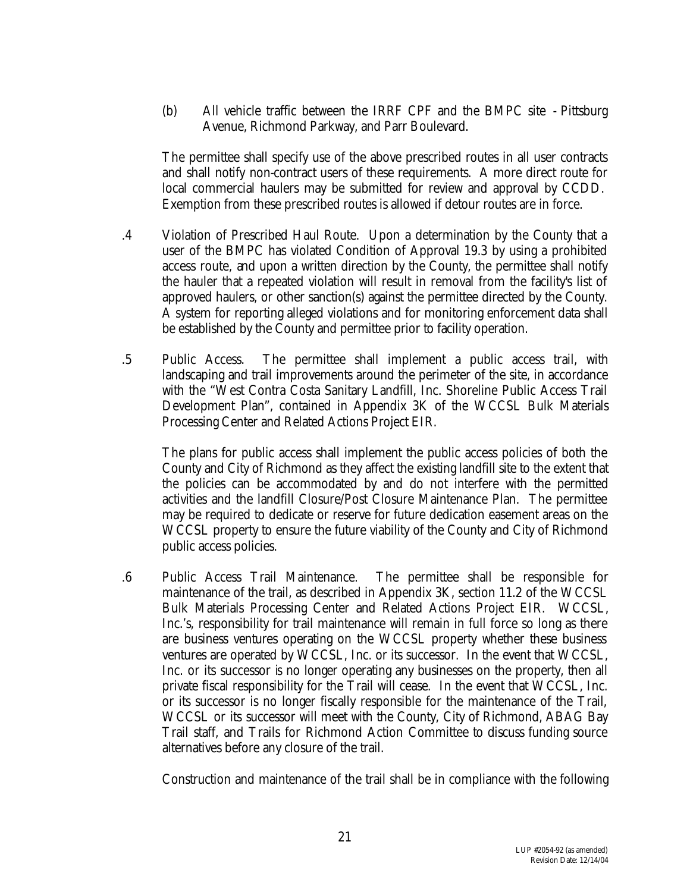(b) All vehicle traffic between the IRRF CPF and the BMPC site - Pittsburg Avenue, Richmond Parkway, and Parr Boulevard.

The permittee shall specify use of the above prescribed routes in all user contracts and shall notify non-contract users of these requirements. A more direct route for local commercial haulers may be submitted for review and approval by CCDD. Exemption from these prescribed routes is allowed if detour routes are in force.

- .4 Violation of Prescribed Haul Route. Upon a determination by the County that a user of the BMPC has violated Condition of Approval 19.3 by using a prohibited access route, and upon a written direction by the County, the permittee shall notify the hauler that a repeated violation will result in removal from the facility's list of approved haulers, or other sanction(s) against the permittee directed by the County. A system for reporting alleged violations and for monitoring enforcement data shall be established by the County and permittee prior to facility operation.
- .5 Public Access. The permittee shall implement a public access trail, with landscaping and trail improvements around the perimeter of the site, in accordance with the "West Contra Costa Sanitary Landfill, Inc. Shoreline Public Access Trail Development Plan", contained in Appendix 3K of the WCCSL Bulk Materials Processing Center and Related Actions Project EIR.

The plans for public access shall implement the public access policies of both the County and City of Richmond as they affect the existing landfill site to the extent that the policies can be accommodated by and do not interfere with the permitted activities and the landfill Closure/Post Closure Maintenance Plan. The permittee may be required to dedicate or reserve for future dedication easement areas on the WCCSL property to ensure the future viability of the County and City of Richmond public access policies.

.6 Public Access Trail Maintenance. The permittee shall be responsible for maintenance of the trail, as described in Appendix 3K, section 11.2 of the WCCSL Bulk Materials Processing Center and Related Actions Project EIR. WCCSL, Inc.'s, responsibility for trail maintenance will remain in full force so long as there are business ventures operating on the WCCSL property whether these business ventures are operated by WCCSL, Inc. or its successor. In the event that WCCSL, Inc. or its successor is no longer operating any businesses on the property, then all private fiscal responsibility for the Trail will cease. In the event that WCCSL, Inc. or its successor is no longer fiscally responsible for the maintenance of the Trail, WCCSL or its successor will meet with the County, City of Richmond, ABAG Bay Trail staff, and Trails for Richmond Action Committee to discuss funding source alternatives before any closure of the trail.

Construction and maintenance of the trail shall be in compliance with the following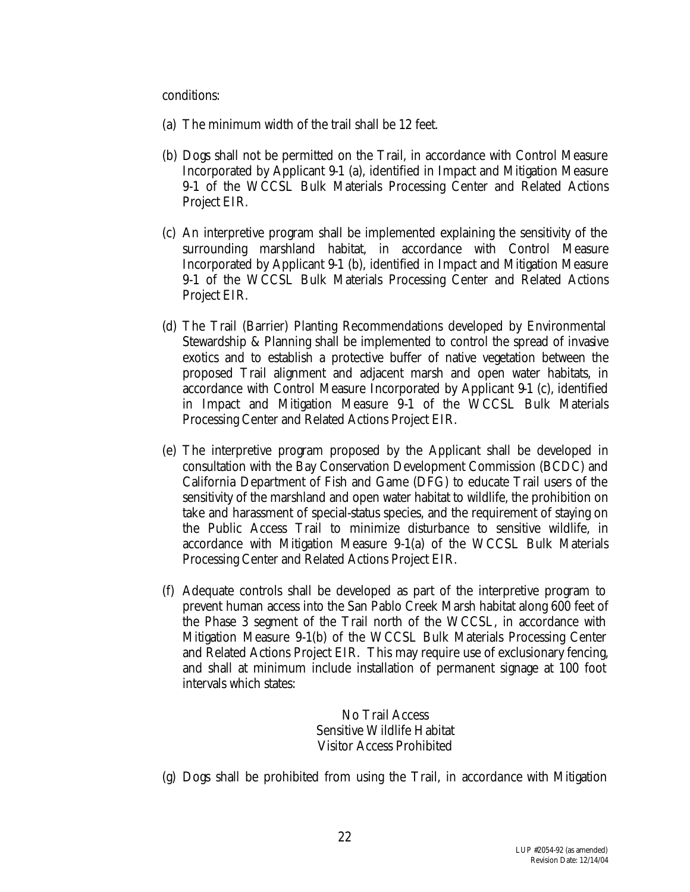#### conditions:

- (a) The minimum width of the trail shall be 12 feet.
- (b) Dogs shall not be permitted on the Trail, in accordance with Control Measure Incorporated by Applicant 9-1 (a), identified in Impact and Mitigation Measure 9-1 of the WCCSL Bulk Materials Processing Center and Related Actions Project EIR.
- (c) An interpretive program shall be implemented explaining the sensitivity of the surrounding marshland habitat, in accordance with Control Measure Incorporated by Applicant 9-1 (b), identified in Impact and Mitigation Measure 9-1 of the WCCSL Bulk Materials Processing Center and Related Actions Project EIR.
- (d) The Trail (Barrier) Planting Recommendations developed by Environmental Stewardship & Planning shall be implemented to control the spread of invasive exotics and to establish a protective buffer of native vegetation between the proposed Trail alignment and adjacent marsh and open water habitats, in accordance with Control Measure Incorporated by Applicant 9-1 (c), identified in Impact and Mitigation Measure 9-1 of the WCCSL Bulk Materials Processing Center and Related Actions Project EIR.
- (e) The interpretive program proposed by the Applicant shall be developed in consultation with the Bay Conservation Development Commission (BCDC) and California Department of Fish and Game (DFG) to educate Trail users of the sensitivity of the marshland and open water habitat to wildlife, the prohibition on take and harassment of special-status species, and the requirement of staying on the Public Access Trail to minimize disturbance to sensitive wildlife, in accordance with Mitigation Measure 9-1(a) of the WCCSL Bulk Materials Processing Center and Related Actions Project EIR.
- (f) Adequate controls shall be developed as part of the interpretive program to prevent human access into the San Pablo Creek Marsh habitat along 600 feet of the Phase 3 segment of the Trail north of the WCCSL, in accordance with Mitigation Measure 9-1(b) of the WCCSL Bulk Materials Processing Center and Related Actions Project EIR. This may require use of exclusionary fencing, and shall at minimum include installation of permanent signage at 100 foot intervals which states:

No Trail Access Sensitive Wildlife Habitat Visitor Access Prohibited

(g) Dogs shall be prohibited from using the Trail, in accordance with Mitigation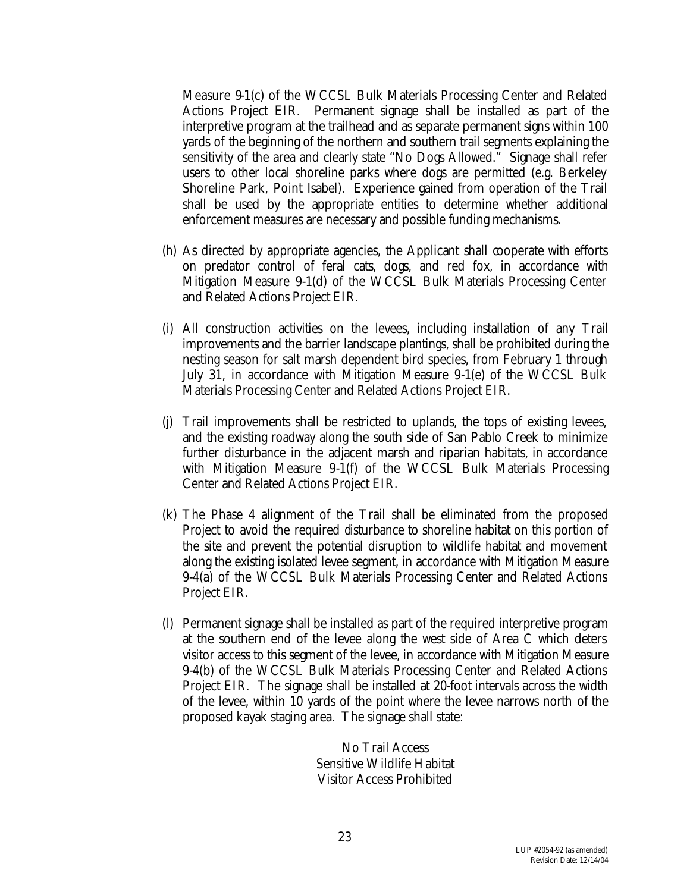Measure 9-1(c) of the WCCSL Bulk Materials Processing Center and Related Actions Project EIR. Permanent signage shall be installed as part of the interpretive program at the trailhead and as separate permanent signs within 100 yards of the beginning of the northern and southern trail segments explaining the sensitivity of the area and clearly state "No Dogs Allowed." Signage shall refer users to other local shoreline parks where dogs are permitted (e.g. Berkeley Shoreline Park, Point Isabel). Experience gained from operation of the Trail shall be used by the appropriate entities to determine whether additional enforcement measures are necessary and possible funding mechanisms.

- (h) As directed by appropriate agencies, the Applicant shall cooperate with efforts on predator control of feral cats, dogs, and red fox, in accordance with Mitigation Measure 9-1(d) of the WCCSL Bulk Materials Processing Center and Related Actions Project EIR.
- (i) All construction activities on the levees, including installation of any Trail improvements and the barrier landscape plantings, shall be prohibited during the nesting season for salt marsh dependent bird species, from February 1 through July 31, in accordance with Mitigation Measure 9-1(e) of the WCCSL Bulk Materials Processing Center and Related Actions Project EIR.
- (j) Trail improvements shall be restricted to uplands, the tops of existing levees, and the existing roadway along the south side of San Pablo Creek to minimize further disturbance in the adjacent marsh and riparian habitats, in accordance with Mitigation Measure 9-1(f) of the WCCSL Bulk Materials Processing Center and Related Actions Project EIR.
- (k) The Phase 4 alignment of the Trail shall be eliminated from the proposed Project to avoid the required disturbance to shoreline habitat on this portion of the site and prevent the potential disruption to wildlife habitat and movement along the existing isolated levee segment, in accordance with Mitigation Measure 9-4(a) of the WCCSL Bulk Materials Processing Center and Related Actions Project EIR.
- (l) Permanent signage shall be installed as part of the required interpretive program at the southern end of the levee along the west side of Area C which deters visitor access to this segment of the levee, in accordance with Mitigation Measure 9-4(b) of the WCCSL Bulk Materials Processing Center and Related Actions Project EIR. The signage shall be installed at 20-foot intervals across the width of the levee, within 10 yards of the point where the levee narrows north of the proposed kayak staging area. The signage shall state:

No Trail Access Sensitive Wildlife Habitat Visitor Access Prohibited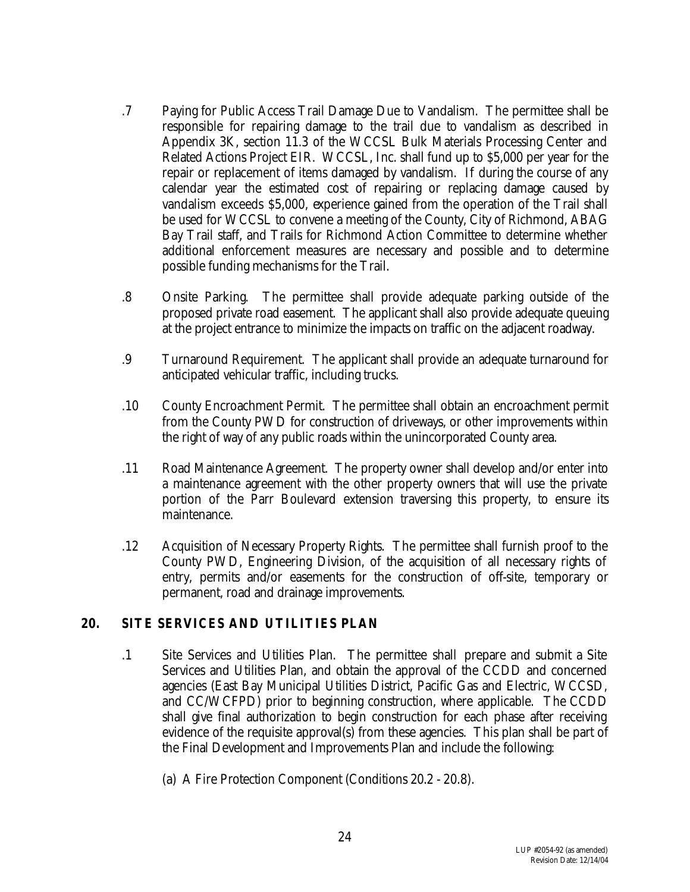- .7 Paying for Public Access Trail Damage Due to Vandalism. The permittee shall be responsible for repairing damage to the trail due to vandalism as described in Appendix 3K, section 11.3 of the WCCSL Bulk Materials Processing Center and Related Actions Project EIR. WCCSL, Inc. shall fund up to \$5,000 per year for the repair or replacement of items damaged by vandalism. If during the course of any calendar year the estimated cost of repairing or replacing damage caused by vandalism exceeds \$5,000, experience gained from the operation of the Trail shall be used for WCCSL to convene a meeting of the County, City of Richmond, ABAG Bay Trail staff, and Trails for Richmond Action Committee to determine whether additional enforcement measures are necessary and possible and to determine possible funding mechanisms for the Trail.
- .8 Onsite Parking. The permittee shall provide adequate parking outside of the proposed private road easement. The applicant shall also provide adequate queuing at the project entrance to minimize the impacts on traffic on the adjacent roadway.
- .9 Turnaround Requirement. The applicant shall provide an adequate turnaround for anticipated vehicular traffic, including trucks.
- .10 County Encroachment Permit. The permittee shall obtain an encroachment permit from the County PWD for construction of driveways, or other improvements within the right of way of any public roads within the unincorporated County area.
- .11 Road Maintenance Agreement. The property owner shall develop and/or enter into a maintenance agreement with the other property owners that will use the private portion of the Parr Boulevard extension traversing this property, to ensure its maintenance.
- .12 Acquisition of Necessary Property Rights. The permittee shall furnish proof to the County PWD, Engineering Division, of the acquisition of all necessary rights of entry, permits and/or easements for the construction of off-site, temporary or permanent, road and drainage improvements.

#### **20. SITE SERVICES AND UTILITIES PLAN**

- .1 Site Services and Utilities Plan. The permittee shall prepare and submit a Site Services and Utilities Plan, and obtain the approval of the CCDD and concerned agencies (East Bay Municipal Utilities District, Pacific Gas and Electric, WCCSD, and CC/WCFPD) prior to beginning construction, where applicable. The CCDD shall give final authorization to begin construction for each phase after receiving evidence of the requisite approval(s) from these agencies. This plan shall be part of the Final Development and Improvements Plan and include the following:
	- (a) A Fire Protection Component (Conditions 20.2 20.8).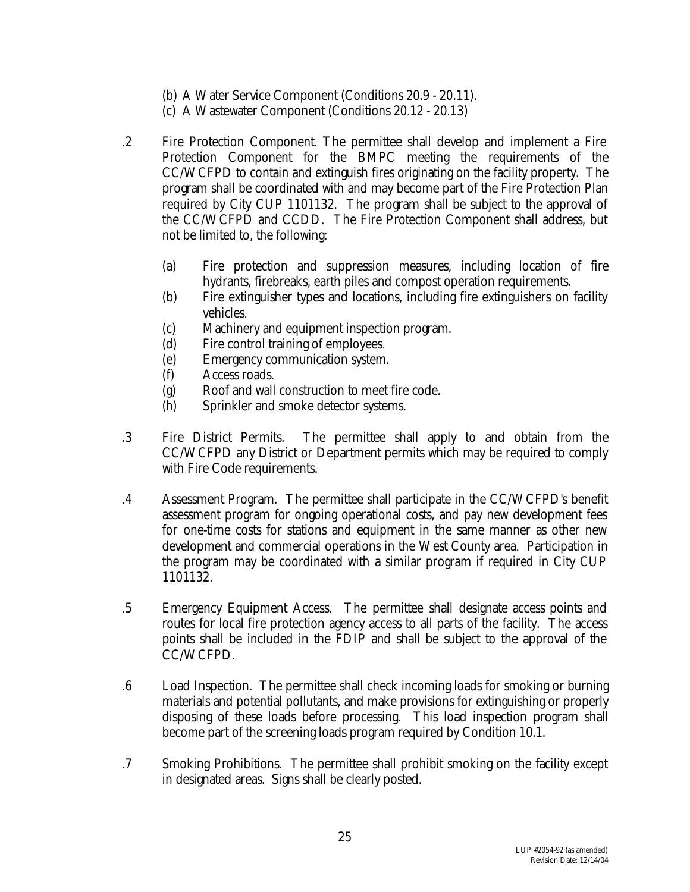- (b) A Water Service Component (Conditions 20.9 20.11).
- (c) A Wastewater Component (Conditions 20.12 20.13)
- .2 Fire Protection Component. The permittee shall develop and implement a Fire Protection Component for the BMPC meeting the requirements of the CC/WCFPD to contain and extinguish fires originating on the facility property. The program shall be coordinated with and may become part of the Fire Protection Plan required by City CUP 1101132. The program shall be subject to the approval of the CC/WCFPD and CCDD. The Fire Protection Component shall address, but not be limited to, the following:
	- (a) Fire protection and suppression measures, including location of fire hydrants, firebreaks, earth piles and compost operation requirements.
	- (b) Fire extinguisher types and locations, including fire extinguishers on facility vehicles.
	- (c) Machinery and equipment inspection program.
	- (d) Fire control training of employees.
	- (e) Emergency communication system.
	- (f) Access roads.
	- (g) Roof and wall construction to meet fire code.
	- (h) Sprinkler and smoke detector systems.
- .3 Fire District Permits. The permittee shall apply to and obtain from the CC/WCFPD any District or Department permits which may be required to comply with Fire Code requirements.
- .4 Assessment Program. The permittee shall participate in the CC/WCFPD's benefit assessment program for ongoing operational costs, and pay new development fees for one-time costs for stations and equipment in the same manner as other new development and commercial operations in the West County area. Participation in the program may be coordinated with a similar program if required in City CUP 1101132.
- .5 Emergency Equipment Access. The permittee shall designate access points and routes for local fire protection agency access to all parts of the facility. The access points shall be included in the FDIP and shall be subject to the approval of the CC/WCFPD.
- .6 Load Inspection. The permittee shall check incoming loads for smoking or burning materials and potential pollutants, and make provisions for extinguishing or properly disposing of these loads before processing. This load inspection program shall become part of the screening loads program required by Condition 10.1.
- .7 Smoking Prohibitions. The permittee shall prohibit smoking on the facility except in designated areas. Signs shall be clearly posted.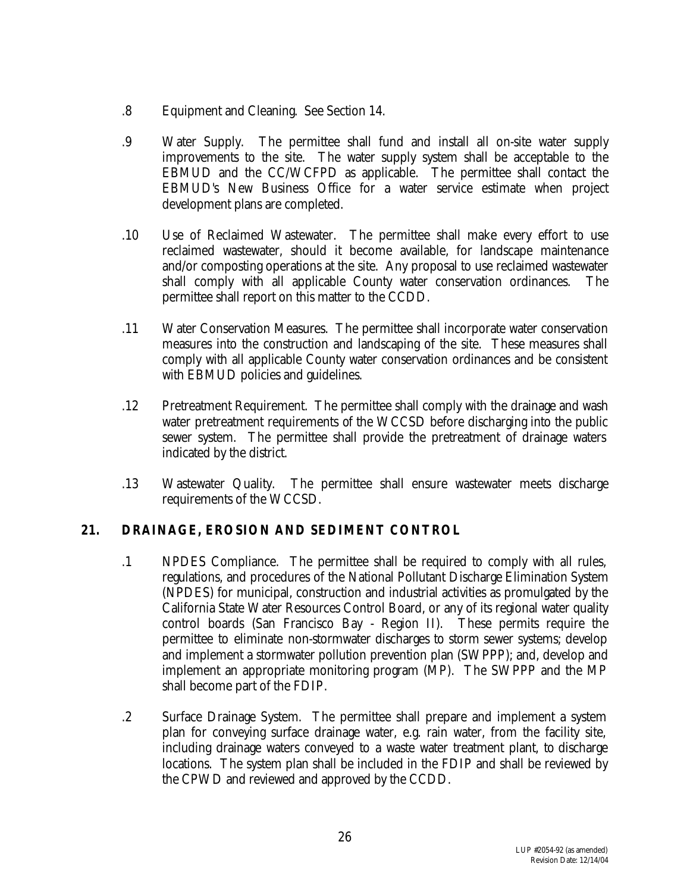- .8 Equipment and Cleaning. See Section 14.
- .9 Water Supply. The permittee shall fund and install all on-site water supply improvements to the site. The water supply system shall be acceptable to the EBMUD and the CC/WCFPD as applicable. The permittee shall contact the EBMUD's New Business Office for a water service estimate when project development plans are completed.
- .10 Use of Reclaimed Wastewater. The permittee shall make every effort to use reclaimed wastewater, should it become available, for landscape maintenance and/or composting operations at the site. Any proposal to use reclaimed wastewater shall comply with all applicable County water conservation ordinances. The permittee shall report on this matter to the CCDD.
- .11 Water Conservation Measures. The permittee shall incorporate water conservation measures into the construction and landscaping of the site. These measures shall comply with all applicable County water conservation ordinances and be consistent with EBMUD policies and guidelines.
- .12 Pretreatment Requirement. The permittee shall comply with the drainage and wash water pretreatment requirements of the WCCSD before discharging into the public sewer system. The permittee shall provide the pretreatment of drainage waters indicated by the district.
- .13 Wastewater Quality. The permittee shall ensure wastewater meets discharge requirements of the WCCSD.

## **21. DRAINAGE, EROSION AND SEDIMENT CONTROL**

- .1 NPDES Compliance. The permittee shall be required to comply with all rules, regulations, and procedures of the National Pollutant Discharge Elimination System (NPDES) for municipal, construction and industrial activities as promulgated by the California State Water Resources Control Board, or any of its regional water quality control boards (San Francisco Bay - Region II). These permits require the permittee to eliminate non-stormwater discharges to storm sewer systems; develop and implement a stormwater pollution prevention plan (SWPPP); and, develop and implement an appropriate monitoring program (MP). The SWPPP and the MP shall become part of the FDIP.
- .2 Surface Drainage System. The permittee shall prepare and implement a system plan for conveying surface drainage water, e.g. rain water, from the facility site, including drainage waters conveyed to a waste water treatment plant, to discharge locations. The system plan shall be included in the FDIP and shall be reviewed by the CPWD and reviewed and approved by the CCDD.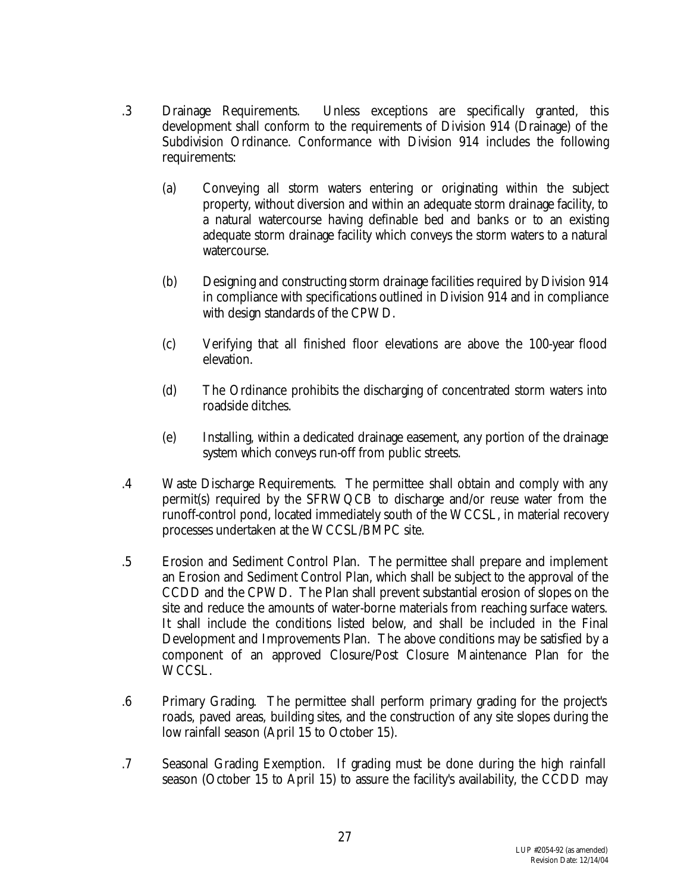- .3 Drainage Requirements. Unless exceptions are specifically granted, this development shall conform to the requirements of Division 914 (Drainage) of the Subdivision Ordinance. Conformance with Division 914 includes the following requirements:
	- (a) Conveying all storm waters entering or originating within the subject property, without diversion and within an adequate storm drainage facility, to a natural watercourse having definable bed and banks or to an existing adequate storm drainage facility which conveys the storm waters to a natural watercourse.
	- (b) Designing and constructing storm drainage facilities required by Division 914 in compliance with specifications outlined in Division 914 and in compliance with design standards of the CPWD.
	- (c) Verifying that all finished floor elevations are above the 100-year flood elevation.
	- (d) The Ordinance prohibits the discharging of concentrated storm waters into roadside ditches.
	- (e) Installing, within a dedicated drainage easement, any portion of the drainage system which conveys run-off from public streets.
- .4 Waste Discharge Requirements. The permittee shall obtain and comply with any permit(s) required by the SFRWQCB to discharge and/or reuse water from the runoff-control pond, located immediately south of the WCCSL, in material recovery processes undertaken at the WCCSL/BMPC site.
- .5 Erosion and Sediment Control Plan. The permittee shall prepare and implement an Erosion and Sediment Control Plan, which shall be subject to the approval of the CCDD and the CPWD. The Plan shall prevent substantial erosion of slopes on the site and reduce the amounts of water-borne materials from reaching surface waters. It shall include the conditions listed below, and shall be included in the Final Development and Improvements Plan. The above conditions may be satisfied by a component of an approved Closure/Post Closure Maintenance Plan for the WCCSL.
- .6 Primary Grading. The permittee shall perform primary grading for the project's roads, paved areas, building sites, and the construction of any site slopes during the low rainfall season (April 15 to October 15).
- .7 Seasonal Grading Exemption. If grading must be done during the high rainfall season (October 15 to April 15) to assure the facility's availability, the CCDD may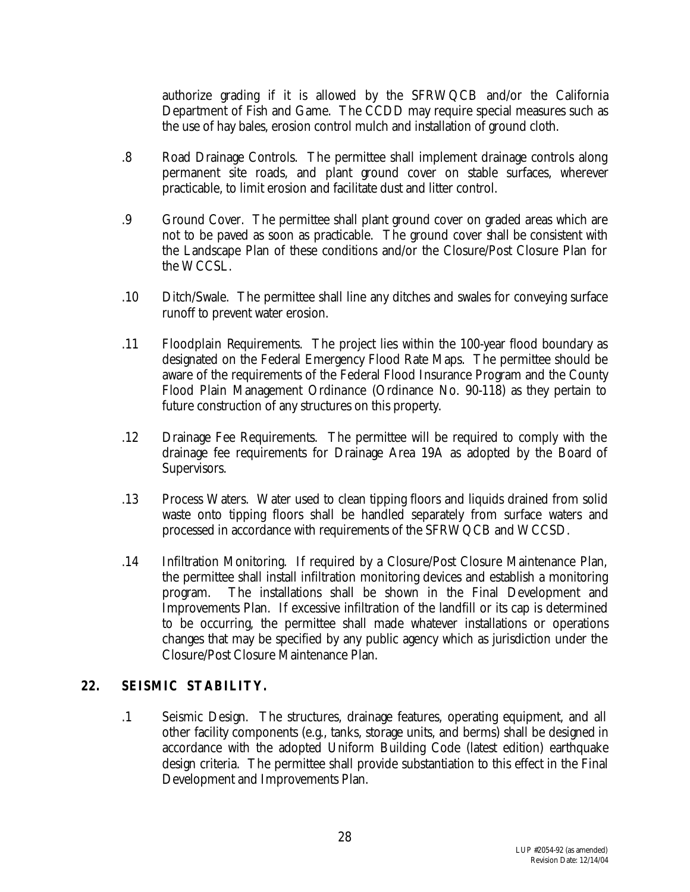authorize grading if it is allowed by the SFRWQCB and/or the California Department of Fish and Game. The CCDD may require special measures such as the use of hay bales, erosion control mulch and installation of ground cloth.

- .8 Road Drainage Controls. The permittee shall implement drainage controls along permanent site roads, and plant ground cover on stable surfaces, wherever practicable, to limit erosion and facilitate dust and litter control.
- .9 Ground Cover. The permittee shall plant ground cover on graded areas which are not to be paved as soon as practicable. The ground cover shall be consistent with the Landscape Plan of these conditions and/or the Closure/Post Closure Plan for the WCCSL.
- .10 Ditch/Swale. The permittee shall line any ditches and swales for conveying surface runoff to prevent water erosion.
- .11 Floodplain Requirements. The project lies within the 100-year flood boundary as designated on the Federal Emergency Flood Rate Maps. The permittee should be aware of the requirements of the Federal Flood Insurance Program and the County Flood Plain Management Ordinance (Ordinance No. 90-118) as they pertain to future construction of any structures on this property.
- .12 Drainage Fee Requirements. The permittee will be required to comply with the drainage fee requirements for Drainage Area 19A as adopted by the Board of Supervisors.
- .13 Process Waters. Water used to clean tipping floors and liquids drained from solid waste onto tipping floors shall be handled separately from surface waters and processed in accordance with requirements of the SFRWQCB and WCCSD.
- .14 Infiltration Monitoring. If required by a Closure/Post Closure Maintenance Plan, the permittee shall install infiltration monitoring devices and establish a monitoring program. The installations shall be shown in the Final Development and Improvements Plan. If excessive infiltration of the landfill or its cap is determined to be occurring, the permittee shall made whatever installations or operations changes that may be specified by any public agency which as jurisdiction under the Closure/Post Closure Maintenance Plan.

#### **22. SEISMIC STABILITY.**

.1 Seismic Design. The structures, drainage features, operating equipment, and all other facility components (e.g., tanks, storage units, and berms) shall be designed in accordance with the adopted Uniform Building Code (latest edition) earthquake design criteria. The permittee shall provide substantiation to this effect in the Final Development and Improvements Plan.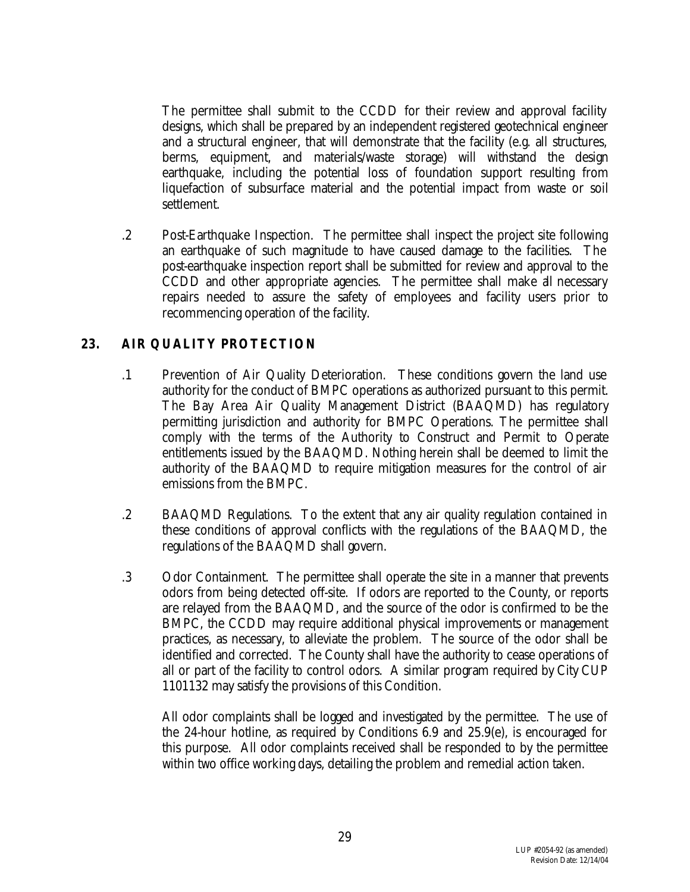The permittee shall submit to the CCDD for their review and approval facility designs, which shall be prepared by an independent registered geotechnical engineer and a structural engineer, that will demonstrate that the facility (e.g. all structures, berms, equipment, and materials/waste storage) will withstand the design earthquake, including the potential loss of foundation support resulting from liquefaction of subsurface material and the potential impact from waste or soil settlement.

.2 Post-Earthquake Inspection. The permittee shall inspect the project site following an earthquake of such magnitude to have caused damage to the facilities. The post-earthquake inspection report shall be submitted for review and approval to the CCDD and other appropriate agencies. The permittee shall make all necessary repairs needed to assure the safety of employees and facility users prior to recommencing operation of the facility.

## **23. AIR QUALITY PROTECTION**

- .1 Prevention of Air Quality Deterioration. These conditions govern the land use authority for the conduct of BMPC operations as authorized pursuant to this permit. The Bay Area Air Quality Management District (BAAQMD) has regulatory permitting jurisdiction and authority for BMPC Operations. The permittee shall comply with the terms of the Authority to Construct and Permit to Operate entitlements issued by the BAAQMD. Nothing herein shall be deemed to limit the authority of the BAAQMD to require mitigation measures for the control of air emissions from the BMPC.
- .2 BAAQMD Regulations. To the extent that any air quality regulation contained in these conditions of approval conflicts with the regulations of the BAAQMD, the regulations of the BAAQMD shall govern.
- .3 Odor Containment. The permittee shall operate the site in a manner that prevents odors from being detected off-site. If odors are reported to the County, or reports are relayed from the BAAQMD, and the source of the odor is confirmed to be the BMPC, the CCDD may require additional physical improvements or management practices, as necessary, to alleviate the problem. The source of the odor shall be identified and corrected. The County shall have the authority to cease operations of all or part of the facility to control odors. A similar program required by City CUP 1101132 may satisfy the provisions of this Condition.

All odor complaints shall be logged and investigated by the permittee. The use of the 24-hour hotline, as required by Conditions 6.9 and 25.9(e), is encouraged for this purpose. All odor complaints received shall be responded to by the permittee within two office working days, detailing the problem and remedial action taken.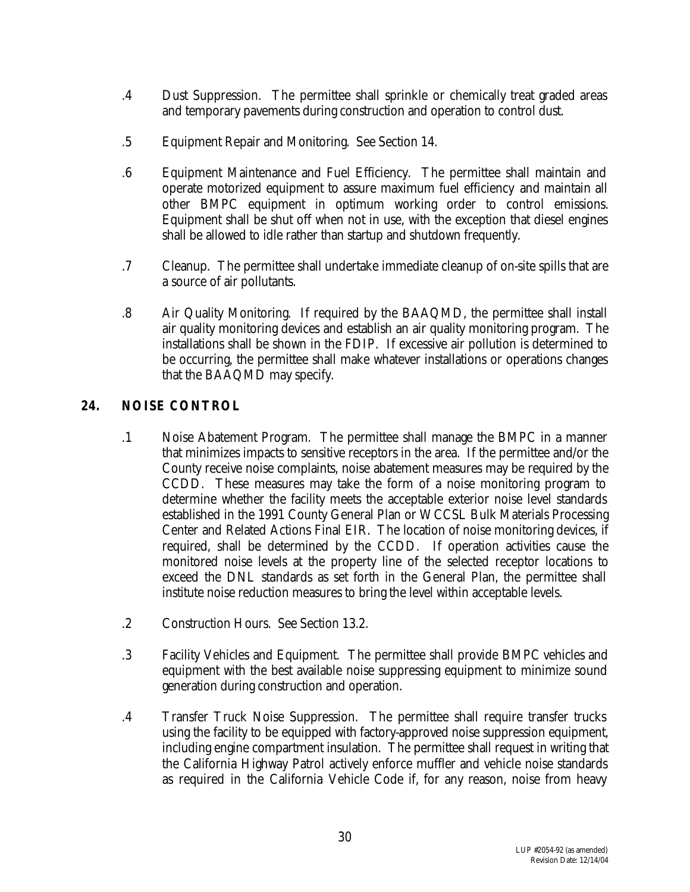- .4 Dust Suppression. The permittee shall sprinkle or chemically treat graded areas and temporary pavements during construction and operation to control dust.
- .5 Equipment Repair and Monitoring. See Section 14.
- .6 Equipment Maintenance and Fuel Efficiency. The permittee shall maintain and operate motorized equipment to assure maximum fuel efficiency and maintain all other BMPC equipment in optimum working order to control emissions. Equipment shall be shut off when not in use, with the exception that diesel engines shall be allowed to idle rather than startup and shutdown frequently.
- .7 Cleanup. The permittee shall undertake immediate cleanup of on-site spills that are a source of air pollutants.
- .8 Air Quality Monitoring. If required by the BAAQMD, the permittee shall install air quality monitoring devices and establish an air quality monitoring program. The installations shall be shown in the FDIP. If excessive air pollution is determined to be occurring, the permittee shall make whatever installations or operations changes that the BAAQMD may specify.

## **24. NOISE CONTROL**

- .1 Noise Abatement Program. The permittee shall manage the BMPC in a manner that minimizes impacts to sensitive receptors in the area. If the permittee and/or the County receive noise complaints, noise abatement measures may be required by the CCDD. These measures may take the form of a noise monitoring program to determine whether the facility meets the acceptable exterior noise level standards established in the 1991 County General Plan or WCCSL Bulk Materials Processing Center and Related Actions Final EIR. The location of noise monitoring devices, if required, shall be determined by the CCDD. If operation activities cause the monitored noise levels at the property line of the selected receptor locations to exceed the DNL standards as set forth in the General Plan, the permittee shall institute noise reduction measures to bring the level within acceptable levels.
- .2 Construction Hours. See Section 13.2.
- .3 Facility Vehicles and Equipment. The permittee shall provide BMPC vehicles and equipment with the best available noise suppressing equipment to minimize sound generation during construction and operation.
- .4 Transfer Truck Noise Suppression. The permittee shall require transfer trucks using the facility to be equipped with factory-approved noise suppression equipment, including engine compartment insulation. The permittee shall request in writing that the California Highway Patrol actively enforce muffler and vehicle noise standards as required in the California Vehicle Code if, for any reason, noise from heavy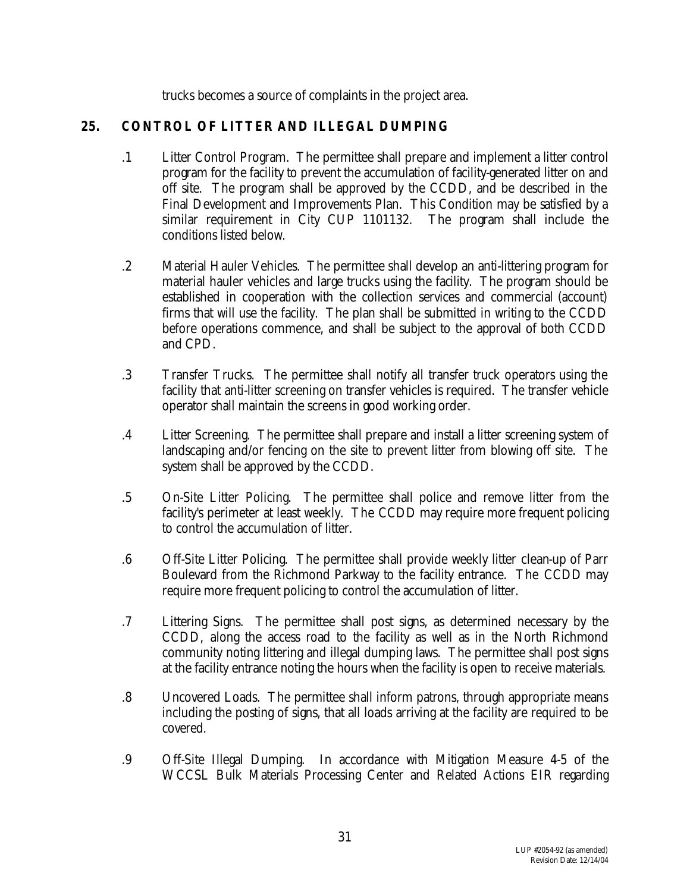trucks becomes a source of complaints in the project area.

## **25. CONTROL OF LITTER AND ILLEGAL DUMPING**

- .1 Litter Control Program. The permittee shall prepare and implement a litter control program for the facility to prevent the accumulation of facility-generated litter on and off site. The program shall be approved by the CCDD, and be described in the Final Development and Improvements Plan. This Condition may be satisfied by a similar requirement in City CUP 1101132. The program shall include the conditions listed below.
- .2 Material Hauler Vehicles. The permittee shall develop an anti-littering program for material hauler vehicles and large trucks using the facility. The program should be established in cooperation with the collection services and commercial (account) firms that will use the facility. The plan shall be submitted in writing to the CCDD before operations commence, and shall be subject to the approval of both CCDD and CPD.
- .3 Transfer Trucks. The permittee shall notify all transfer truck operators using the facility that anti-litter screening on transfer vehicles is required. The transfer vehicle operator shall maintain the screens in good working order.
- .4 Litter Screening. The permittee shall prepare and install a litter screening system of landscaping and/or fencing on the site to prevent litter from blowing off site. The system shall be approved by the CCDD.
- .5 On-Site Litter Policing. The permittee shall police and remove litter from the facility's perimeter at least weekly. The CCDD may require more frequent policing to control the accumulation of litter.
- .6 Off-Site Litter Policing. The permittee shall provide weekly litter clean-up of Parr Boulevard from the Richmond Parkway to the facility entrance. The CCDD may require more frequent policing to control the accumulation of litter.
- .7 Littering Signs. The permittee shall post signs, as determined necessary by the CCDD, along the access road to the facility as well as in the North Richmond community noting littering and illegal dumping laws. The permittee shall post signs at the facility entrance noting the hours when the facility is open to receive materials.
- .8 Uncovered Loads. The permittee shall inform patrons, through appropriate means including the posting of signs, that all loads arriving at the facility are required to be covered.
- .9 Off-Site Illegal Dumping. In accordance with Mitigation Measure 4-5 of the WCCSL Bulk Materials Processing Center and Related Actions EIR regarding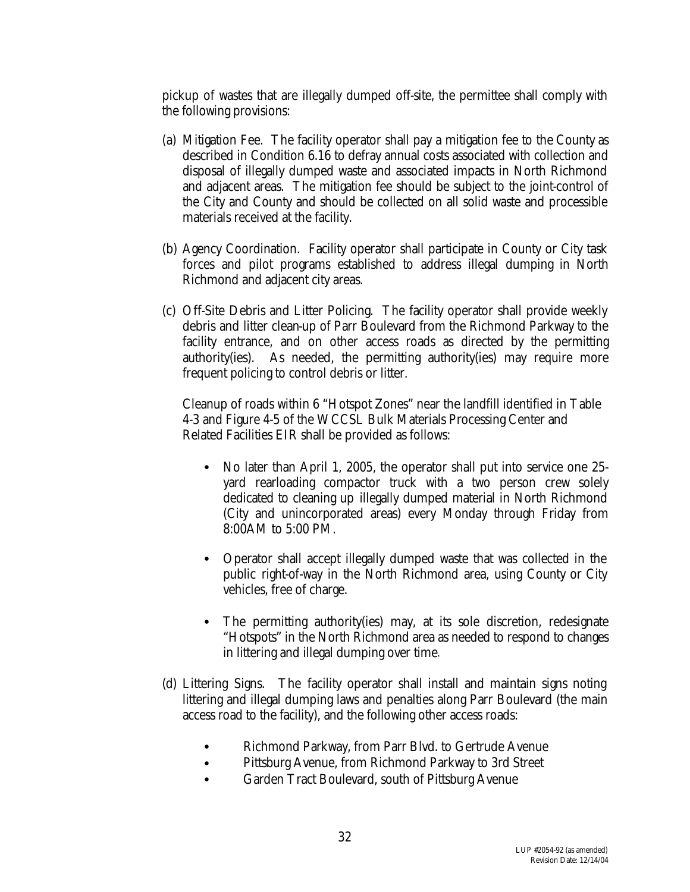pickup of wastes that are illegally dumped off-site, the permittee shall comply with the following provisions:

- (a) Mitigation Fee. The facility operator shall pay a mitigation fee to the County as described in Condition 6.16 to defray annual costs associated with collection and disposal of illegally dumped waste and associated impacts in North Richmond and adjacent areas. The mitigation fee should be subject to the joint-control of the City and County and should be collected on all solid waste and processible materials received at the facility.
- (b) Agency Coordination. Facility operator shall participate in County or City task forces and pilot programs established to address illegal dumping in North Richmond and adjacent city areas.
- (c) Off-Site Debris and Litter Policing. The facility operator shall provide weekly debris and litter clean-up of Parr Boulevard from the Richmond Parkway to the facility entrance, and on other access roads as directed by the permitting authority(ies). As needed, the permitting authority(ies) may require more frequent policing to control debris or litter.

Cleanup of roads within 6 "Hotspot Zones" near the landfill identified in Table 4-3 and Figure 4-5 of the WCCSL Bulk Materials Processing Center and Related Facilities EIR shall be provided as follows:

- No later than April 1, 2005, the operator shall put into service one 25yard rearloading compactor truck with a two person crew solely dedicated to cleaning up illegally dumped material in North Richmond (City and unincorporated areas) every Monday through Friday from 8:00AM to 5:00 PM.
- Operator shall accept illegally dumped waste that was collected in the public right-of-way in the North Richmond area, using County or City vehicles, free of charge.
- The permitting authority(ies) may, at its sole discretion, redesignate "Hotspots" in the North Richmond area as needed to respond to changes in littering and illegal dumping over time.
- (d) Littering Signs. The facility operator shall install and maintain signs noting littering and illegal dumping laws and penalties along Parr Boulevard (the main access road to the facility), and the following other access roads:
	- Richmond Parkway, from Parr Blvd. to Gertrude Avenue
	- Pittsburg Avenue, from Richmond Parkway to 3rd Street
	- Garden Tract Boulevard, south of Pittsburg Avenue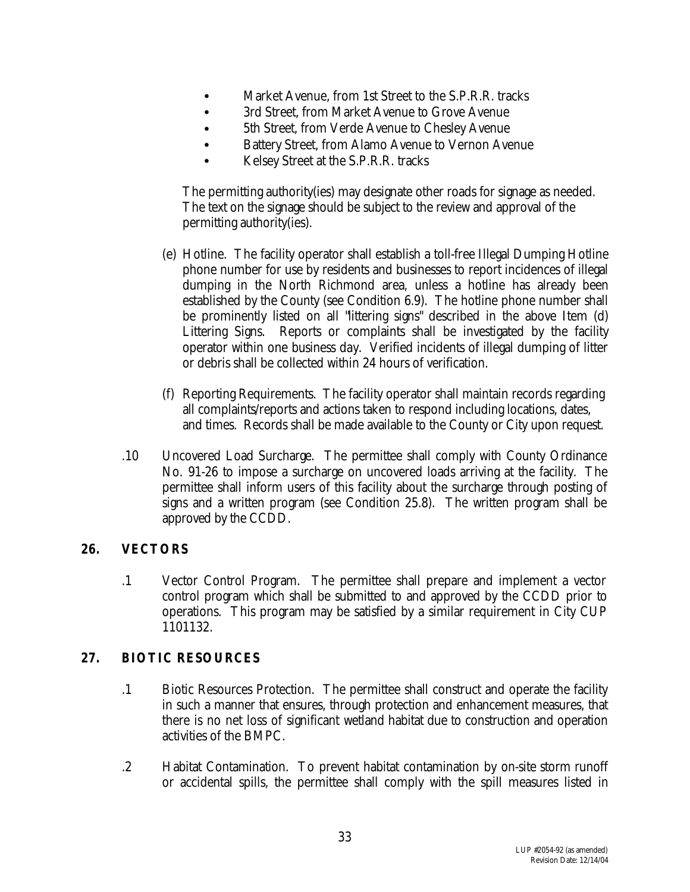- Market Avenue, from 1st Street to the S.P.R.R. tracks
- 3rd Street, from Market Avenue to Grove Avenue
- 5th Street, from Verde Avenue to Chesley Avenue
- Battery Street, from Alamo Avenue to Vernon Avenue
- Kelsey Street at the S.P.R.R. tracks

The permitting authority(ies) may designate other roads for signage as needed. The text on the signage should be subject to the review and approval of the permitting authority(ies).

- (e) Hotline. The facility operator shall establish a toll-free Illegal Dumping Hotline phone number for use by residents and businesses to report incidences of illegal dumping in the North Richmond area, unless a hotline has already been established by the County (see Condition 6.9). The hotline phone number shall be prominently listed on all "littering signs" described in the above Item (d) Littering Signs. Reports or complaints shall be investigated by the facility operator within one business day. Verified incidents of illegal dumping of litter or debris shall be collected within 24 hours of verification.
- (f) Reporting Requirements. The facility operator shall maintain records regarding all complaints/reports and actions taken to respond including locations, dates, and times. Records shall be made available to the County or City upon request.
- .10 Uncovered Load Surcharge. The permittee shall comply with County Ordinance No. 91-26 to impose a surcharge on uncovered loads arriving at the facility. The permittee shall inform users of this facility about the surcharge through posting of signs and a written program (see Condition 25.8). The written program shall be approved by the CCDD.

## **26. VECTORS**

.1 Vector Control Program. The permittee shall prepare and implement a vector control program which shall be submitted to and approved by the CCDD prior to operations. This program may be satisfied by a similar requirement in City CUP 1101132.

## **27. BIOTIC RESOURCES**

- .1 Biotic Resources Protection. The permittee shall construct and operate the facility in such a manner that ensures, through protection and enhancement measures, that there is no net loss of significant wetland habitat due to construction and operation activities of the BMPC.
- .2 Habitat Contamination. To prevent habitat contamination by on-site storm runoff or accidental spills, the permittee shall comply with the spill measures listed in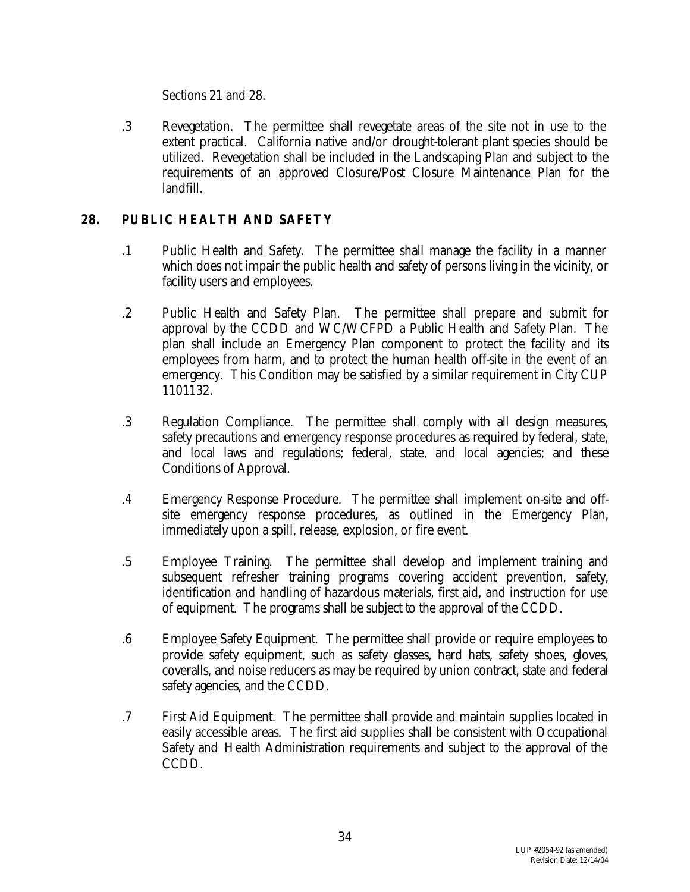Sections 21 and 28.

.3 Revegetation. The permittee shall revegetate areas of the site not in use to the extent practical. California native and/or drought-tolerant plant species should be utilized. Revegetation shall be included in the Landscaping Plan and subject to the requirements of an approved Closure/Post Closure Maintenance Plan for the landfill.

## **28. PUBLIC HEALTH AND SAFETY**

- .1 Public Health and Safety. The permittee shall manage the facility in a manner which does not impair the public health and safety of persons living in the vicinity, or facility users and employees.
- .2 Public Health and Safety Plan. The permittee shall prepare and submit for approval by the CCDD and WC/WCFPD a Public Health and Safety Plan. The plan shall include an Emergency Plan component to protect the facility and its employees from harm, and to protect the human health off-site in the event of an emergency. This Condition may be satisfied by a similar requirement in City CUP 1101132.
- .3 Regulation Compliance. The permittee shall comply with all design measures, safety precautions and emergency response procedures as required by federal, state, and local laws and regulations; federal, state, and local agencies; and these Conditions of Approval.
- .4 Emergency Response Procedure. The permittee shall implement on-site and offsite emergency response procedures, as outlined in the Emergency Plan, immediately upon a spill, release, explosion, or fire event.
- .5 Employee Training. The permittee shall develop and implement training and subsequent refresher training programs covering accident prevention, safety, identification and handling of hazardous materials, first aid, and instruction for use of equipment. The programs shall be subject to the approval of the CCDD.
- .6 Employee Safety Equipment. The permittee shall provide or require employees to provide safety equipment, such as safety glasses, hard hats, safety shoes, gloves, coveralls, and noise reducers as may be required by union contract, state and federal safety agencies, and the CCDD.
- .7 First Aid Equipment. The permittee shall provide and maintain supplies located in easily accessible areas. The first aid supplies shall be consistent with Occupational Safety and Health Administration requirements and subject to the approval of the CCDD.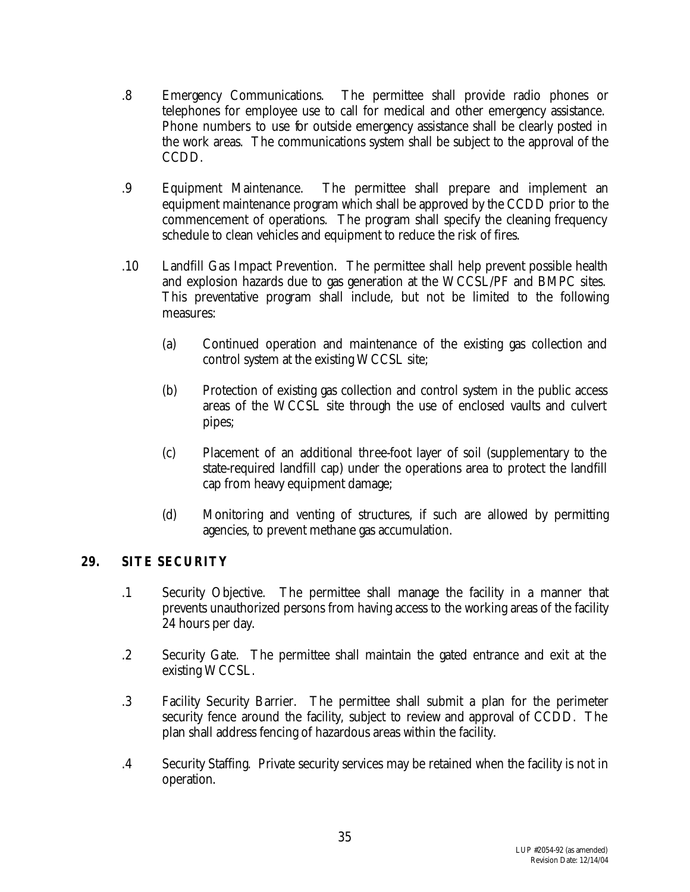- .8 Emergency Communications. The permittee shall provide radio phones or telephones for employee use to call for medical and other emergency assistance. Phone numbers to use for outside emergency assistance shall be clearly posted in the work areas. The communications system shall be subject to the approval of the CCDD.
- .9 Equipment Maintenance. The permittee shall prepare and implement an equipment maintenance program which shall be approved by the CCDD prior to the commencement of operations. The program shall specify the cleaning frequency schedule to clean vehicles and equipment to reduce the risk of fires.
- .10 Landfill Gas Impact Prevention. The permittee shall help prevent possible health and explosion hazards due to gas generation at the WCCSL/PF and BMPC sites. This preventative program shall include, but not be limited to the following measures:
	- (a) Continued operation and maintenance of the existing gas collection and control system at the existing WCCSL site;
	- (b) Protection of existing gas collection and control system in the public access areas of the WCCSL site through the use of enclosed vaults and culvert pipes;
	- (c) Placement of an additional three-foot layer of soil (supplementary to the state-required landfill cap) under the operations area to protect the landfill cap from heavy equipment damage;
	- (d) Monitoring and venting of structures, if such are allowed by permitting agencies, to prevent methane gas accumulation.

#### **29. SITE SECURITY**

- .1 Security Objective. The permittee shall manage the facility in a manner that prevents unauthorized persons from having access to the working areas of the facility 24 hours per day.
- .2 Security Gate. The permittee shall maintain the gated entrance and exit at the existing WCCSL.
- .3 Facility Security Barrier. The permittee shall submit a plan for the perimeter security fence around the facility, subject to review and approval of CCDD. The plan shall address fencing of hazardous areas within the facility.
- .4 Security Staffing. Private security services may be retained when the facility is not in operation.